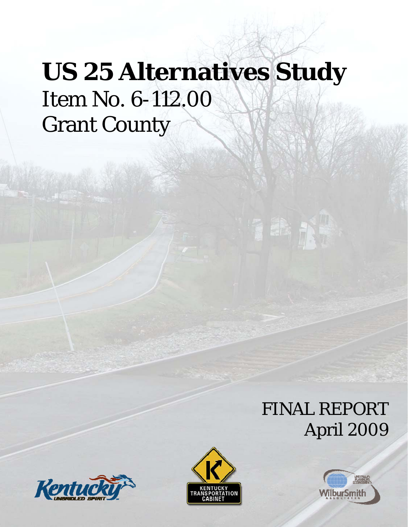# **US 25 Alternatives Study** Item No. 6-112.00 Grant County

## FINAL REPORT April 2009

活行





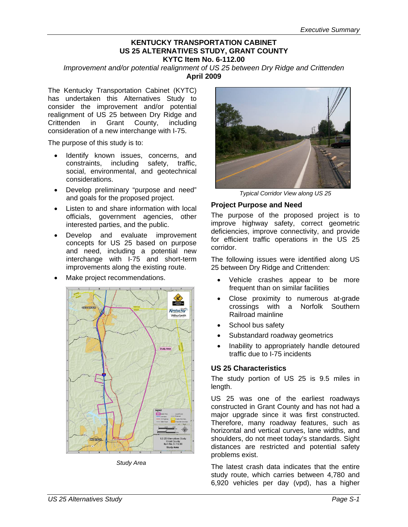#### **KENTUCKY TRANSPORTATION CABINET US 25 ALTERNATIVES STUDY, GRANT COUNTY KYTC Item No. 6-112.00**

*Improvement and/or potential realignment of US 25 between Dry Ridge and Crittenden* **April 2009** 

The Kentucky Transportation Cabinet (KYTC) has undertaken this Alternatives Study to consider the improvement and/or potential realignment of US 25 between Dry Ridge and Crittenden in Grant County, including consideration of a new interchange with I-75.

The purpose of this study is to:

- Identify known issues, concerns, and constraints, including safety, traffic, social, environmental, and geotechnical considerations.
- Develop preliminary "purpose and need" and goals for the proposed project.
- Listen to and share information with local officials, government agencies, other interested parties, and the public.
- Develop and evaluate improvement concepts for US 25 based on purpose and need, including a potential new interchange with I-75 and short-term improvements along the existing route.
- Make project recommendations.



*Study Area* 



*Typical Corridor View along US 25* 

#### **Project Purpose and Need**

The purpose of the proposed project is to improve highway safety, correct geometric deficiencies, improve connectivity, and provide for efficient traffic operations in the US 25 corridor.

The following issues were identified along US 25 between Dry Ridge and Crittenden:

- Vehicle crashes appear to be more frequent than on similar facilities
- Close proximity to numerous at-grade crossings with a Norfolk Southern Railroad mainline
- School bus safety
- Substandard roadway geometrics
- Inability to appropriately handle detoured traffic due to I-75 incidents

#### **US 25 Characteristics**

The study portion of US 25 is 9.5 miles in length.

US 25 was one of the earliest roadways constructed in Grant County and has not had a major upgrade since it was first constructed. Therefore, many roadway features, such as horizontal and vertical curves, lane widths, and shoulders, do not meet today's standards. Sight distances are restricted and potential safety problems exist.

The latest crash data indicates that the entire study route, which carries between 4,780 and 6,920 vehicles per day (vpd), has a higher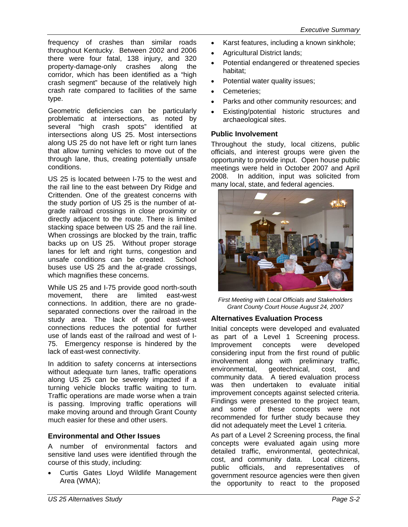frequency of crashes than similar roads throughout Kentucky. Between 2002 and 2006 there were four fatal, 138 injury, and 320 property-damage-only crashes along the corridor, which has been identified as a "high crash segment" because of the relatively high crash rate compared to facilities of the same type.

Geometric deficiencies can be particularly problematic at intersections, as noted by several "high crash spots" identified at intersections along US 25. Most intersections along US 25 do not have left or right turn lanes that allow turning vehicles to move out of the through lane, thus, creating potentially unsafe conditions.

US 25 is located between I-75 to the west and the rail line to the east between Dry Ridge and Crittenden. One of the greatest concerns with the study portion of US 25 is the number of atgrade railroad crossings in close proximity or directly adjacent to the route. There is limited stacking space between US 25 and the rail line. When crossings are blocked by the train, traffic backs up on US 25. Without proper storage lanes for left and right turns, congestion and unsafe conditions can be created. School buses use US 25 and the at-grade crossings, which magnifies these concerns.

While US 25 and I-75 provide good north-south movement, there are limited east-west connections. In addition, there are no gradeseparated connections over the railroad in the study area. The lack of good east-west connections reduces the potential for further use of lands east of the railroad and west of I-75. Emergency response is hindered by the lack of east-west connectivity.

In addition to safety concerns at intersections without adequate turn lanes, traffic operations along US 25 can be severely impacted if a turning vehicle blocks traffic waiting to turn. Traffic operations are made worse when a train is passing. Improving traffic operations will make moving around and through Grant County much easier for these and other users.

#### **Environmental and Other Issues**

A number of environmental factors and sensitive land uses were identified through the course of this study, including:

• Curtis Gates Lloyd Wildlife Management Area (WMA);

- Karst features, including a known sinkhole;
- Agricultural District lands;
- Potential endangered or threatened species habitat;
- Potential water quality issues;
- Cemeteries;
- Parks and other community resources; and
- Existing/potential historic structures and archaeological sites.

#### **Public Involvement**

Throughout the study, local citizens, public officials, and interest groups were given the opportunity to provide input. Open house public meetings were held in October 2007 and April 2008. In addition, input was solicited from many local, state, and federal agencies.



*First Meeting with Local Officials and Stakeholders Grant County Court House August 24, 2007* 

#### **Alternatives Evaluation Process**

Initial concepts were developed and evaluated as part of a Level 1 Screening process. Improvement concepts were developed considering input from the first round of public involvement along with preliminary traffic, environmental, geotechnical, cost, and community data. A tiered evaluation process was then undertaken to evaluate initial improvement concepts against selected criteria. Findings were presented to the project team, and some of these concepts were not recommended for further study because they did not adequately meet the Level 1 criteria.

As part of a Level 2 Screening process, the final concepts were evaluated again using more detailed traffic, environmental, geotechnical, cost, and community data. Local citizens, public officials, and representatives of government resource agencies were then given the opportunity to react to the proposed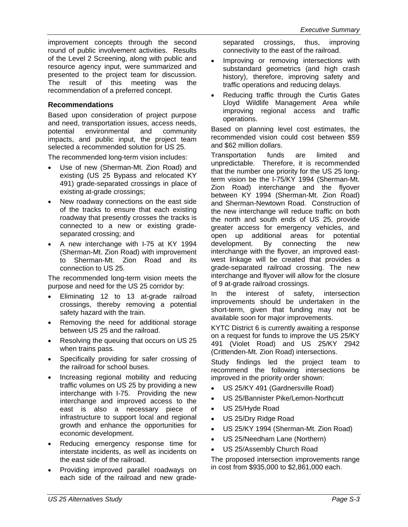improvement concepts through the second round of public involvement activities. Results of the Level 2 Screening, along with public and resource agency input, were summarized and presented to the project team for discussion. The result of this meeting was the recommendation of a preferred concept.

#### **Recommendations**

Based upon consideration of project purpose and need, transportation issues, access needs, potential environmental and community impacts, and public input, the project team selected a recommended solution for US 25.

The recommended long-term vision includes:

- Use of new (Sherman-Mt. Zion Road) and existing (US 25 Bypass and relocated KY 491) grade-separated crossings in place of existing at-grade crossings;
- New roadway connections on the east side of the tracks to ensure that each existing roadway that presently crosses the tracks is connected to a new or existing gradeseparated crossing; and
- A new interchange with I-75 at KY 1994 (Sherman-Mt. Zion Road) with improvement to Sherman-Mt. Zion Road and its connection to US 25.

The recommended long-term vision meets the purpose and need for the US 25 corridor by:

- Eliminating 12 to 13 at-grade railroad crossings, thereby removing a potential safety hazard with the train.
- Removing the need for additional storage between US 25 and the railroad.
- Resolving the queuing that occurs on US 25 when trains pass.
- Specifically providing for safer crossing of the railroad for school buses.
- Increasing regional mobility and reducing traffic volumes on US 25 by providing a new interchange with I-75. Providing the new interchange and improved access to the east is also a necessary piece of infrastructure to support local and regional growth and enhance the opportunities for economic development.
- Reducing emergency response time for interstate incidents, as well as incidents on the east side of the railroad.
- Providing improved parallel roadways on each side of the railroad and new grade-

separated crossings, thus, improving connectivity to the east of the railroad.

- Improving or removing intersections with substandard geometrics (and high crash history), therefore, improving safety and traffic operations and reducing delays.
- Reducing traffic through the Curtis Gates Lloyd Wildlife Management Area while improving regional access and traffic operations.

Based on planning level cost estimates, the recommended vision could cost between \$59 and \$62 million dollars.

Transportation funds are limited and unpredictable. Therefore, it is recommended that the number one priority for the US 25 longterm vision be the I-75/KY 1994 (Sherman-Mt. Zion Road) interchange and the flyover between KY 1994 (Sherman-Mt. Zion Road) and Sherman-Newtown Road. Construction of the new interchange will reduce traffic on both the north and south ends of US 25, provide greater access for emergency vehicles, and open up additional areas for potential development. By connecting the new interchange with the flyover, an improved eastwest linkage will be created that provides a grade-separated railroad crossing. The new interchange and flyover will allow for the closure of 9 at-grade railroad crossings.

In the interest of safety, intersection improvements should be undertaken in the short-term, given that funding may not be available soon for major improvements.

KYTC District 6 is currently awaiting a response on a request for funds to improve the US 25/KY 491 (Violet Road) and US 25/KY 2942 (Crittenden-Mt. Zion Road) intersections.

Study findings led the project team to recommend the following intersections be improved in the priority order shown:

- US 25/KY 491 (Gardnersville Road)
- US 25/Bannister Pike/Lemon-Northcutt
- US 25/Hyde Road
- US 25/Dry Ridge Road
- US 25/KY 1994 (Sherman-Mt. Zion Road)
- US 25/Needham Lane (Northern)
- US 25/Assembly Church Road

The proposed intersection improvements range in cost from \$935,000 to \$2,861,000 each.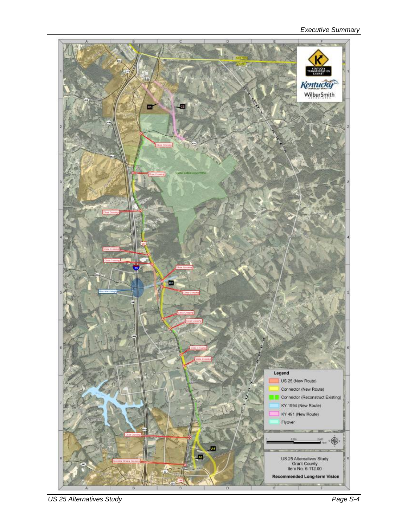#### *Executive Summary*



*US 25 Alternatives Study Page S-4*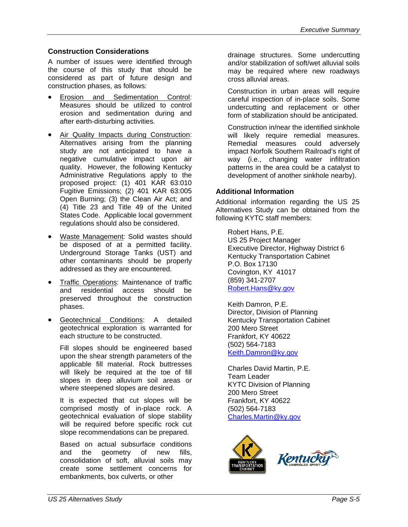#### **Construction Considerations**

A number of issues were identified through the course of this study that should be considered as part of future design and construction phases, as follows:

- Erosion and Sedimentation Control: Measures should be utilized to control erosion and sedimentation during and after earth-disturbing activities.
- Air Quality Impacts during Construction: Alternatives arising from the planning study are not anticipated to have a negative cumulative impact upon air quality. However, the following Kentucky Administrative Regulations apply to the proposed project: (1) 401 KAR 63:010 Fugitive Emissions; (2) 401 KAR 63:005 Open Burning; (3) the Clean Air Act; and (4) Title 23 and Title 49 of the United States Code. Applicable local government regulations should also be considered.
- Waste Management: Solid wastes should be disposed of at a permitted facility. Underground Storage Tanks (UST) and other contaminants should be properly addressed as they are encountered.
- Traffic Operations: Maintenance of traffic and residential access should be preserved throughout the construction phases.
- Geotechnical Conditions: A detailed geotechnical exploration is warranted for each structure to be constructed.

Fill slopes should be engineered based upon the shear strength parameters of the applicable fill material. Rock buttresses will likely be required at the toe of fill slopes in deep alluvium soil areas or where steepened slopes are desired.

It is expected that cut slopes will be comprised mostly of in-place rock. A geotechnical evaluation of slope stability will be required before specific rock cut slope recommendations can be prepared.

Based on actual subsurface conditions and the geometry of new fills, consolidation of soft, alluvial soils may create some settlement concerns for embankments, box culverts, or other

drainage structures. Some undercutting and/or stabilization of soft/wet alluvial soils may be required where new roadways cross alluvial areas.

Construction in urban areas will require careful inspection of in-place soils. Some undercutting and replacement or other form of stabilization should be anticipated.

Construction in/near the identified sinkhole will likely require remedial measures. Remedial measures could adversely impact Norfolk Southern Railroad's right of way (i.e., changing water infiltration patterns in the area could be a catalyst to development of another sinkhole nearby).

#### **Additional Information**

Additional information regarding the US 25 Alternatives Study can be obtained from the following KYTC staff members:

Robert Hans, P.E. US 25 Project Manager Executive Director, Highway District 6 Kentucky Transportation Cabinet P.O. Box 17130 Covington, KY 41017 (859) 341-2707 Robert.Hans@ky.gov

Keith Damron, P.E. Director, Division of Planning Kentucky Transportation Cabinet 200 Mero Street Frankfort, KY 40622 (502) 564-7183 Keith.Damron@ky.gov

Charles David Martin, P.E. Team Leader KYTC Division of Planning 200 Mero Street Frankfort, KY 40622 (502) 564-7183 Charles.Martin@ky.gov

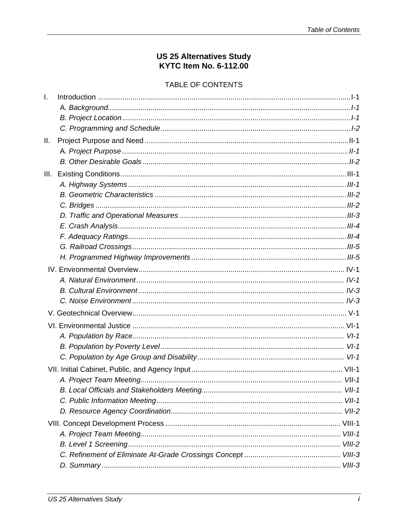## US 25 Alternatives Study<br>KYTC Item No. 6-112.00

#### TABLE OF CONTENTS

| <u> 1-1- Introduction</u> |  |
|---------------------------|--|
|                           |  |
|                           |  |
|                           |  |
|                           |  |
|                           |  |
|                           |  |
|                           |  |
|                           |  |
|                           |  |
|                           |  |
|                           |  |
|                           |  |
|                           |  |
|                           |  |
|                           |  |
|                           |  |
|                           |  |
|                           |  |
|                           |  |
|                           |  |
|                           |  |
|                           |  |
|                           |  |
|                           |  |
|                           |  |
|                           |  |
|                           |  |
|                           |  |
|                           |  |
|                           |  |
|                           |  |
|                           |  |
|                           |  |
|                           |  |
|                           |  |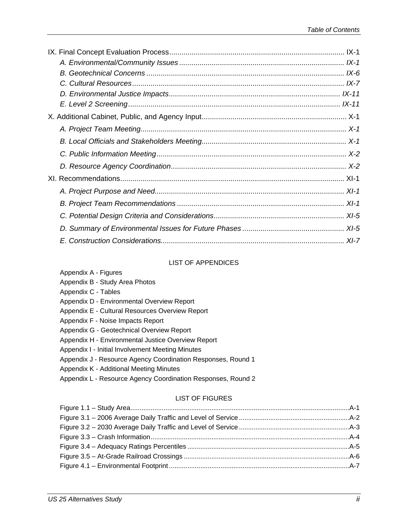#### LIST OF APPENDICES

| Appendix A - Figures                                         |  |
|--------------------------------------------------------------|--|
| Appendix B - Study Area Photos                               |  |
| Appendix C - Tables                                          |  |
| Appendix D - Environmental Overview Report                   |  |
| Appendix E - Cultural Resources Overview Report              |  |
| Appendix F - Noise Impacts Report                            |  |
| Appendix G - Geotechnical Overview Report                    |  |
| Appendix H - Environmental Justice Overview Report           |  |
| Appendix I - Initial Involvement Meeting Minutes             |  |
| Appendix J - Resource Agency Coordination Responses, Round 1 |  |
| Appendix K - Additional Meeting Minutes                      |  |
| Appendix L - Resource Agency Coordination Responses, Round 2 |  |
| <b>LIST OF FIGURES</b>                                       |  |
|                                                              |  |
|                                                              |  |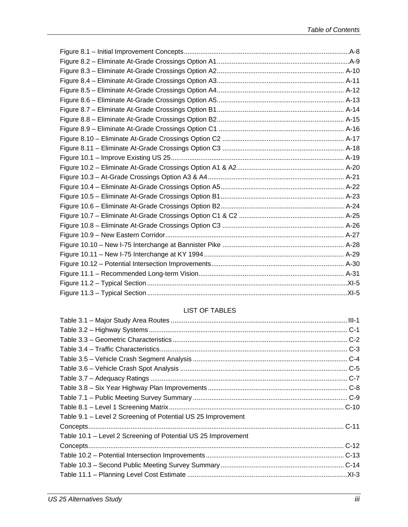#### LIST OF TABLES

| Table 9.1 – Level 2 Screening of Potential US 25 Improvement  |  |
|---------------------------------------------------------------|--|
|                                                               |  |
| Table 10.1 – Level 2 Screening of Potential US 25 Improvement |  |
|                                                               |  |
|                                                               |  |
|                                                               |  |
|                                                               |  |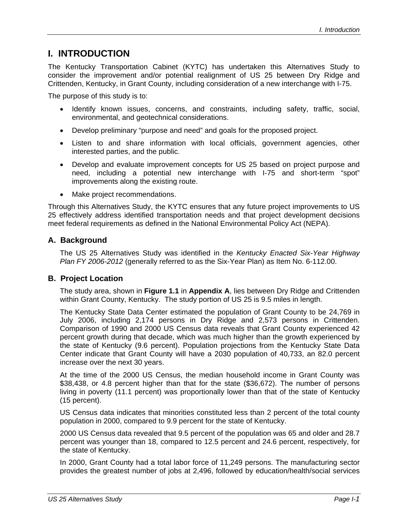## **I. INTRODUCTION**

The Kentucky Transportation Cabinet (KYTC) has undertaken this Alternatives Study to consider the improvement and/or potential realignment of US 25 between Dry Ridge and Crittenden, Kentucky, in Grant County, including consideration of a new interchange with I-75.

The purpose of this study is to:

- Identify known issues, concerns, and constraints, including safety, traffic, social, environmental, and geotechnical considerations.
- Develop preliminary "purpose and need" and goals for the proposed project.
- Listen to and share information with local officials, government agencies, other interested parties, and the public.
- Develop and evaluate improvement concepts for US 25 based on project purpose and need, including a potential new interchange with I-75 and short-term "spot" improvements along the existing route.
- Make project recommendations.

Through this Alternatives Study, the KYTC ensures that any future project improvements to US 25 effectively address identified transportation needs and that project development decisions meet federal requirements as defined in the National Environmental Policy Act (NEPA).

#### **A. Background**

The US 25 Alternatives Study was identified in the *Kentucky Enacted Six-Year Highway Plan FY 2006-2012* (generally referred to as the Six-Year Plan) as Item No. 6-112.00.

#### **B. Project Location**

The study area, shown in **Figure 1.1** in **Appendix A**, lies between Dry Ridge and Crittenden within Grant County, Kentucky. The study portion of US 25 is 9.5 miles in length.

The Kentucky State Data Center estimated the population of Grant County to be 24,769 in July 2006, including 2,174 persons in Dry Ridge and 2,573 persons in Crittenden. Comparison of 1990 and 2000 US Census data reveals that Grant County experienced 42 percent growth during that decade, which was much higher than the growth experienced by the state of Kentucky (9.6 percent). Population projections from the Kentucky State Data Center indicate that Grant County will have a 2030 population of 40,733, an 82.0 percent increase over the next 30 years.

At the time of the 2000 US Census, the median household income in Grant County was \$38,438, or 4.8 percent higher than that for the state (\$36,672). The number of persons living in poverty (11.1 percent) was proportionally lower than that of the state of Kentucky (15 percent).

US Census data indicates that minorities constituted less than 2 percent of the total county population in 2000, compared to 9.9 percent for the state of Kentucky.

2000 US Census data revealed that 9.5 percent of the population was 65 and older and 28.7 percent was younger than 18, compared to 12.5 percent and 24.6 percent, respectively, for the state of Kentucky.

In 2000, Grant County had a total labor force of 11,249 persons. The manufacturing sector provides the greatest number of jobs at 2,496, followed by education/health/social services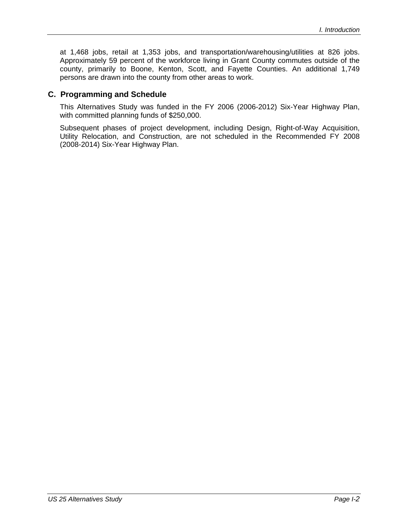at 1,468 jobs, retail at 1,353 jobs, and transportation/warehousing/utilities at 826 jobs. Approximately 59 percent of the workforce living in Grant County commutes outside of the county, primarily to Boone, Kenton, Scott, and Fayette Counties. An additional 1,749 persons are drawn into the county from other areas to work.

#### **C. Programming and Schedule**

This Alternatives Study was funded in the FY 2006 (2006-2012) Six-Year Highway Plan, with committed planning funds of \$250,000.

Subsequent phases of project development, including Design, Right-of-Way Acquisition, Utility Relocation, and Construction, are not scheduled in the Recommended FY 2008 (2008-2014) Six-Year Highway Plan.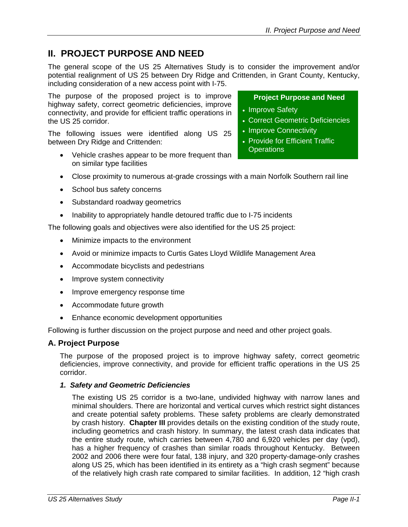## **II. PROJECT PURPOSE AND NEED**

The general scope of the US 25 Alternatives Study is to consider the improvement and/or potential realignment of US 25 between Dry Ridge and Crittenden, in Grant County, Kentucky, including consideration of a new access point with I-75.

The purpose of the proposed project is to improve highway safety, correct geometric deficiencies, improve connectivity, and provide for efficient traffic operations in the US 25 corridor.

The following issues were identified along US 25 between Dry Ridge and Crittenden:

• Vehicle crashes appear to be more frequent than on similar type facilities

#### **Project Purpose and Need**

- Improve Safety
- Correct Geometric Deficiencies
- Improve Connectivity
- Provide for Efficient Traffic **Operations**
- Close proximity to numerous at-grade crossings with a main Norfolk Southern rail line
- School bus safety concerns
- Substandard roadway geometrics
- Inability to appropriately handle detoured traffic due to I-75 incidents

The following goals and objectives were also identified for the US 25 project:

- Minimize impacts to the environment
- Avoid or minimize impacts to Curtis Gates Lloyd Wildlife Management Area
- Accommodate bicyclists and pedestrians
- Improve system connectivity
- Improve emergency response time
- Accommodate future growth
- Enhance economic development opportunities

Following is further discussion on the project purpose and need and other project goals.

#### **A. Project Purpose**

The purpose of the proposed project is to improve highway safety, correct geometric deficiencies, improve connectivity, and provide for efficient traffic operations in the US 25 corridor.

#### *1. Safety and Geometric Deficiencies*

The existing US 25 corridor is a two-lane, undivided highway with narrow lanes and minimal shoulders. There are horizontal and vertical curves which restrict sight distances and create potential safety problems. These safety problems are clearly demonstrated by crash history. **Chapter III** provides details on the existing condition of the study route, including geometrics and crash history. In summary, the latest crash data indicates that the entire study route, which carries between 4,780 and 6,920 vehicles per day (vpd), has a higher frequency of crashes than similar roads throughout Kentucky. Between 2002 and 2006 there were four fatal, 138 injury, and 320 property-damage-only crashes along US 25, which has been identified in its entirety as a "high crash segment" because of the relatively high crash rate compared to similar facilities. In addition, 12 "high crash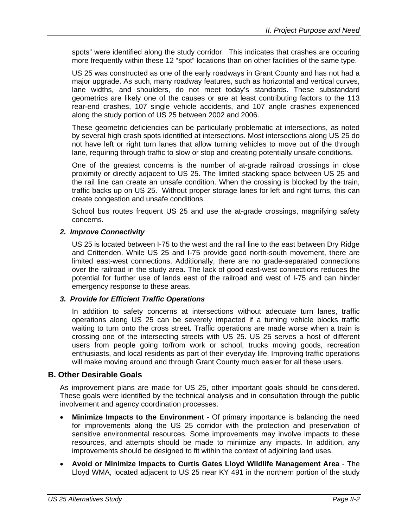spots" were identified along the study corridor. This indicates that crashes are occuring more frequently within these 12 "spot" locations than on other facilities of the same type.

US 25 was constructed as one of the early roadways in Grant County and has not had a major upgrade. As such, many roadway features, such as horizontal and vertical curves, lane widths, and shoulders, do not meet today's standards. These substandard geometrics are likely one of the causes or are at least contributing factors to the 113 rear-end crashes, 107 single vehicle accidents, and 107 angle crashes experienced along the study portion of US 25 between 2002 and 2006.

These geometric deficiencies can be particularly problematic at intersections, as noted by several high crash spots identified at intersections. Most intersections along US 25 do not have left or right turn lanes that allow turning vehicles to move out of the through lane, requiring through traffic to slow or stop and creating potentially unsafe conditions.

One of the greatest concerns is the number of at-grade railroad crossings in close proximity or directly adjacent to US 25. The limited stacking space between US 25 and the rail line can create an unsafe condition. When the crossing is blocked by the train, traffic backs up on US 25. Without proper storage lanes for left and right turns, this can create congestion and unsafe conditions.

School bus routes frequent US 25 and use the at-grade crossings, magnifying safety concerns.

#### *2. Improve Connectivity*

US 25 is located between I-75 to the west and the rail line to the east between Dry Ridge and Crittenden. While US 25 and I-75 provide good north-south movement, there are limited east-west connections. Additionally, there are no grade-separated connections over the railroad in the study area. The lack of good east-west connections reduces the potential for further use of lands east of the railroad and west of I-75 and can hinder emergency response to these areas.

#### *3. Provide for Efficient Traffic Operations*

In addition to safety concerns at intersections without adequate turn lanes, traffic operations along US 25 can be severely impacted if a turning vehicle blocks traffic waiting to turn onto the cross street. Traffic operations are made worse when a train is crossing one of the intersecting streets with US 25. US 25 serves a host of different users from people going to/from work or school, trucks moving goods, recreation enthusiasts, and local residents as part of their everyday life. Improving traffic operations will make moving around and through Grant County much easier for all these users.

#### **B. Other Desirable Goals**

As improvement plans are made for US 25, other important goals should be considered. These goals were identified by the technical analysis and in consultation through the public involvement and agency coordination processes.

- **Minimize Impacts to the Environment** Of primary importance is balancing the need for improvements along the US 25 corridor with the protection and preservation of sensitive environmental resources. Some improvements may involve impacts to these resources, and attempts should be made to minimize any impacts. In addition, any improvements should be designed to fit within the context of adjoining land uses.
- **Avoid or Minimize Impacts to Curtis Gates Lloyd Wildlife Management Area** The Lloyd WMA, located adjacent to US 25 near KY 491 in the northern portion of the study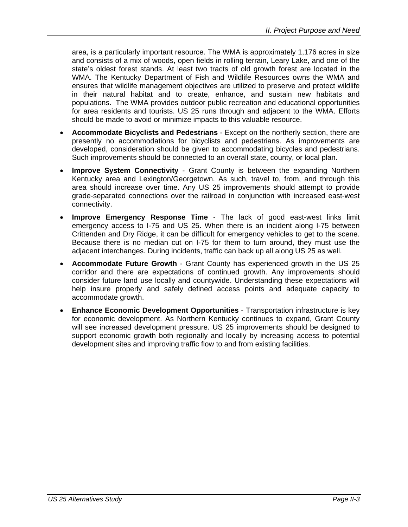area, is a particularly important resource. The WMA is approximately 1,176 acres in size and consists of a mix of woods, open fields in rolling terrain, Leary Lake, and one of the state's oldest forest stands. At least two tracts of old growth forest are located in the WMA. The Kentucky Department of Fish and Wildlife Resources owns the WMA and ensures that wildlife management objectives are utilized to preserve and protect wildlife in their natural habitat and to create, enhance, and sustain new habitats and populations. The WMA provides outdoor public recreation and educational opportunities for area residents and tourists. US 25 runs through and adjacent to the WMA. Efforts should be made to avoid or minimize impacts to this valuable resource.

- **Accommodate Bicyclists and Pedestrians** Except on the northerly section, there are presently no accommodations for bicyclists and pedestrians. As improvements are developed, consideration should be given to accommodating bicycles and pedestrians. Such improvements should be connected to an overall state, county, or local plan.
- **Improve System Connectivity** Grant County is between the expanding Northern Kentucky area and Lexington/Georgetown. As such, travel to, from, and through this area should increase over time. Any US 25 improvements should attempt to provide grade-separated connections over the railroad in conjunction with increased east-west connectivity.
- **Improve Emergency Response Time** The lack of good east-west links limit emergency access to I-75 and US 25. When there is an incident along I-75 between Crittenden and Dry Ridge, it can be difficult for emergency vehicles to get to the scene. Because there is no median cut on I-75 for them to turn around, they must use the adjacent interchanges. During incidents, traffic can back up all along US 25 as well.
- **Accommodate Future Growth** Grant County has experienced growth in the US 25 corridor and there are expectations of continued growth. Any improvements should consider future land use locally and countywide. Understanding these expectations will help insure properly and safely defined access points and adequate capacity to accommodate growth.
- **Enhance Economic Development Opportunities** Transportation infrastructure is key for economic development. As Northern Kentucky continues to expand, Grant County will see increased development pressure. US 25 improvements should be designed to support economic growth both regionally and locally by increasing access to potential development sites and improving traffic flow to and from existing facilities.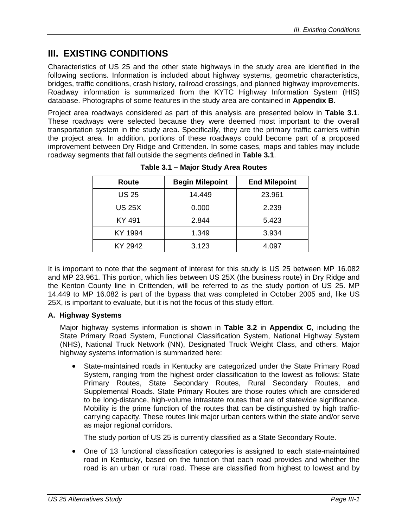## **III. EXISTING CONDITIONS**

Characteristics of US 25 and the other state highways in the study area are identified in the following sections. Information is included about highway systems, geometric characteristics, bridges, traffic conditions, crash history, railroad crossings, and planned highway improvements. Roadway information is summarized from the KYTC Highway Information System (HIS) database. Photographs of some features in the study area are contained in **Appendix B**.

Project area roadways considered as part of this analysis are presented below in **Table 3.1**. These roadways were selected because they were deemed most important to the overall transportation system in the study area. Specifically, they are the primary traffic carriers within the project area. In addition, portions of these roadways could become part of a proposed improvement between Dry Ridge and Crittenden. In some cases, maps and tables may include roadway segments that fall outside the segments defined in **Table 3.1**.

| Route         | <b>Begin Milepoint</b> | <b>End Milepoint</b> |
|---------------|------------------------|----------------------|
| <b>US 25</b>  | 14.449                 | 23.961               |
| <b>US 25X</b> | 0.000                  | 2.239                |
| KY 491        | 2.844                  | 5.423                |
| KY 1994       | 1.349                  | 3.934                |
| KY 2942       | 3.123                  | 4.097                |

**Table 3.1 – Major Study Area Routes** 

It is important to note that the segment of interest for this study is US 25 between MP 16.082 and MP 23.961. This portion, which lies between US 25X (the business route) in Dry Ridge and the Kenton County line in Crittenden, will be referred to as the study portion of US 25. MP 14.449 to MP 16.082 is part of the bypass that was completed in October 2005 and, like US 25X, is important to evaluate, but it is not the focus of this study effort.

#### **A. Highway Systems**

Major highway systems information is shown in **Table 3.2** in **Appendix C**, including the State Primary Road System, Functional Classification System, National Highway System (NHS), National Truck Network (NN), Designated Truck Weight Class, and others. Major highway systems information is summarized here:

• State-maintained roads in Kentucky are categorized under the State Primary Road System, ranging from the highest order classification to the lowest as follows: State Primary Routes, State Secondary Routes, Rural Secondary Routes, and Supplemental Roads. State Primary Routes are those routes which are considered to be long-distance, high-volume intrastate routes that are of statewide significance. Mobility is the prime function of the routes that can be distinguished by high trafficcarrying capacity. These routes link major urban centers within the state and/or serve as major regional corridors.

The study portion of US 25 is currently classified as a State Secondary Route.

• One of 13 functional classification categories is assigned to each state-maintained road in Kentucky, based on the function that each road provides and whether the road is an urban or rural road. These are classified from highest to lowest and by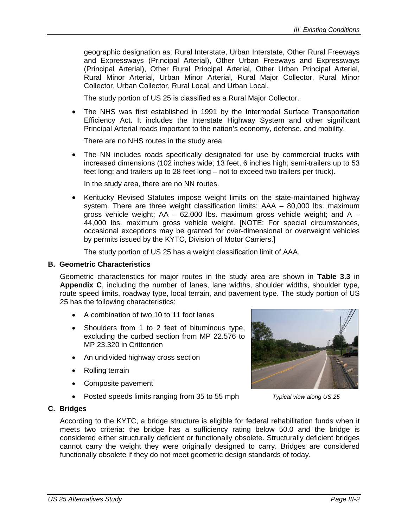geographic designation as: Rural Interstate, Urban Interstate, Other Rural Freeways and Expressways (Principal Arterial), Other Urban Freeways and Expressways (Principal Arterial), Other Rural Principal Arterial, Other Urban Principal Arterial, Rural Minor Arterial, Urban Minor Arterial, Rural Major Collector, Rural Minor Collector, Urban Collector, Rural Local, and Urban Local.

The study portion of US 25 is classified as a Rural Major Collector.

• The NHS was first established in 1991 by the Intermodal Surface Transportation Efficiency Act. It includes the Interstate Highway System and other significant Principal Arterial roads important to the nation's economy, defense, and mobility.

There are no NHS routes in the study area.

• The NN includes roads specifically designated for use by commercial trucks with increased dimensions (102 inches wide; 13 feet, 6 inches high; semi-trailers up to 53 feet long; and trailers up to 28 feet long – not to exceed two trailers per truck).

In the study area, there are no NN routes.

• Kentucky Revised Statutes impose weight limits on the state-maintained highway system. There are three weight classification limits: AAA – 80,000 lbs. maximum gross vehicle weight;  $AA - 62,000$  lbs. maximum gross vehicle weight; and  $A -$ 44,000 lbs. maximum gross vehicle weight. [NOTE: For special circumstances, occasional exceptions may be granted for over-dimensional or overweight vehicles by permits issued by the KYTC, Division of Motor Carriers.]

The study portion of US 25 has a weight classification limit of AAA.

#### **B. Geometric Characteristics**

Geometric characteristics for major routes in the study area are shown in **Table 3.3** in **Appendix C**, including the number of lanes, lane widths, shoulder widths, shoulder type, route speed limits, roadway type, local terrain, and pavement type. The study portion of US 25 has the following characteristics:

- A combination of two 10 to 11 foot lanes
- Shoulders from 1 to 2 feet of bituminous type, excluding the curbed section from MP 22.576 to MP 23.320 in Crittenden
- An undivided highway cross section
- Rolling terrain
- Composite pavement
- Posted speeds limits ranging from 35 to 55 mph



*Typical view along US 25* 

#### **C. Bridges**

According to the KYTC, a bridge structure is eligible for federal rehabilitation funds when it meets two criteria: the bridge has a sufficiency rating below 50.0 and the bridge is considered either structurally deficient or functionally obsolete. Structurally deficient bridges cannot carry the weight they were originally designed to carry. Bridges are considered functionally obsolete if they do not meet geometric design standards of today.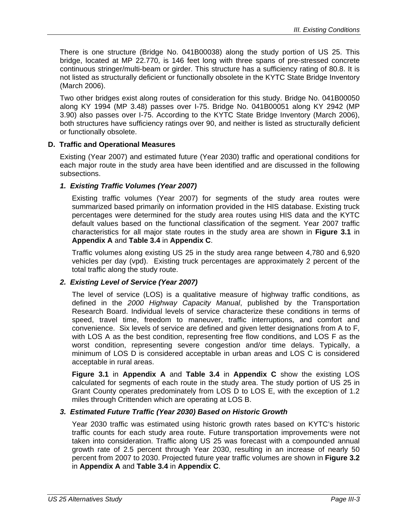There is one structure (Bridge No. 041B00038) along the study portion of US 25. This bridge, located at MP 22.770, is 146 feet long with three spans of pre-stressed concrete continuous stringer/multi-beam or girder. This structure has a sufficiency rating of 80.8. It is not listed as structurally deficient or functionally obsolete in the KYTC State Bridge Inventory (March 2006).

Two other bridges exist along routes of consideration for this study. Bridge No. 041B00050 along KY 1994 (MP 3.48) passes over I-75. Bridge No. 041B00051 along KY 2942 (MP 3.90) also passes over I-75. According to the KYTC State Bridge Inventory (March 2006), both structures have sufficiency ratings over 90, and neither is listed as structurally deficient or functionally obsolete.

#### **D. Traffic and Operational Measures**

Existing (Year 2007) and estimated future (Year 2030) traffic and operational conditions for each major route in the study area have been identified and are discussed in the following subsections.

#### *1. Existing Traffic Volumes (Year 2007)*

Existing traffic volumes (Year 2007) for segments of the study area routes were summarized based primarily on information provided in the HIS database. Existing truck percentages were determined for the study area routes using HIS data and the KYTC default values based on the functional classification of the segment. Year 2007 traffic characteristics for all major state routes in the study area are shown in **Figure 3.1** in **Appendix A** and **Table 3.4** in **Appendix C**.

Traffic volumes along existing US 25 in the study area range between 4,780 and 6,920 vehicles per day (vpd). Existing truck percentages are approximately 2 percent of the total traffic along the study route.

#### *2. Existing Level of Service (Year 2007)*

The level of service (LOS) is a qualitative measure of highway traffic conditions, as defined in the *2000 Highway Capacity Manual*, published by the Transportation Research Board. Individual levels of service characterize these conditions in terms of speed, travel time, freedom to maneuver, traffic interruptions, and comfort and convenience. Six levels of service are defined and given letter designations from A to F, with LOS A as the best condition, representing free flow conditions, and LOS F as the worst condition, representing severe congestion and/or time delays. Typically, a minimum of LOS D is considered acceptable in urban areas and LOS C is considered acceptable in rural areas.

**Figure 3.1** in **Appendix A** and **Table 3.4** in **Appendix C** show the existing LOS calculated for segments of each route in the study area. The study portion of US 25 in Grant County operates predominately from LOS D to LOS E, with the exception of 1.2 miles through Crittenden which are operating at LOS B.

#### *3. Estimated Future Traffic (Year 2030) Based on Historic Growth*

Year 2030 traffic was estimated using historic growth rates based on KYTC's historic traffic counts for each study area route. Future transportation improvements were not taken into consideration. Traffic along US 25 was forecast with a compounded annual growth rate of 2.5 percent through Year 2030, resulting in an increase of nearly 50 percent from 2007 to 2030. Projected future year traffic volumes are shown in **Figure 3.2**  in **Appendix A** and **Table 3.4** in **Appendix C**.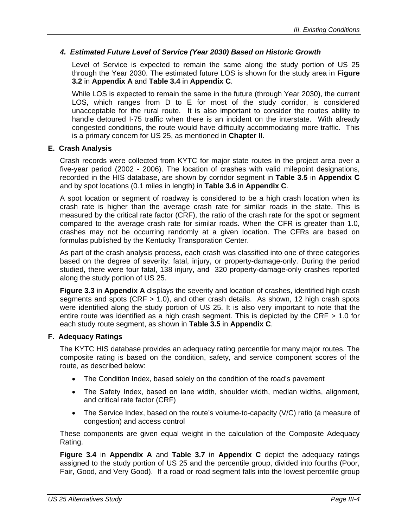#### *4. Estimated Future Level of Service (Year 2030) Based on Historic Growth*

Level of Service is expected to remain the same along the study portion of US 25 through the Year 2030. The estimated future LOS is shown for the study area in **Figure 3.2** in **Appendix A** and **Table 3.4** in **Appendix C**.

While LOS is expected to remain the same in the future (through Year 2030), the current LOS, which ranges from D to E for most of the study corridor, is considered unacceptable for the rural route. It is also important to consider the routes ability to handle detoured I-75 traffic when there is an incident on the interstate. With already congested conditions, the route would have difficulty accommodating more traffic. This is a primary concern for US 25, as mentioned in **Chapter II**.

#### **E. Crash Analysis**

Crash records were collected from KYTC for major state routes in the project area over a five-year period (2002 - 2006). The location of crashes with valid milepoint designations, recorded in the HIS database, are shown by corridor segment in **Table 3.5** in **Appendix C** and by spot locations (0.1 miles in length) in **Table 3.6** in **Appendix C**.

A spot location or segment of roadway is considered to be a high crash location when its crash rate is higher than the average crash rate for similar roads in the state. This is measured by the critical rate factor (CRF), the ratio of the crash rate for the spot or segment compared to the average crash rate for similar roads. When the CFR is greater than 1.0, crashes may not be occurring randomly at a given location. The CFRs are based on formulas published by the Kentucky Transporation Center.

As part of the crash analysis process, each crash was classified into one of three categories based on the degree of severity: fatal, injury, or property-damage-only. During the period studied, there were four fatal, 138 injury, and 320 property-damage-only crashes reported along the study portion of US 25.

**Figure 3.3** in **Appendix A** displays the severity and location of crashes, identified high crash segments and spots (CRF > 1.0), and other crash details. As shown, 12 high crash spots were identified along the study portion of US 25. It is also very important to note that the entire route was identified as a high crash segment. This is depicted by the CRF > 1.0 for each study route segment, as shown in **Table 3.5** in **Appendix C**.

#### **F. Adequacy Ratings**

The KYTC HIS database provides an adequacy rating percentile for many major routes. The composite rating is based on the condition, safety, and service component scores of the route, as described below:

- The Condition Index, based solely on the condition of the road's pavement
- The Safety Index, based on lane width, shoulder width, median widths, alignment, and critical rate factor (CRF)
- The Service Index, based on the route's volume-to-capacity (V/C) ratio (a measure of congestion) and access control

These components are given equal weight in the calculation of the Composite Adequacy Rating.

**Figure 3.4** in **Appendix A** and **Table 3.7** in **Appendix C** depict the adequacy ratings assigned to the study portion of US 25 and the percentile group, divided into fourths (Poor, Fair, Good, and Very Good). If a road or road segment falls into the lowest percentile group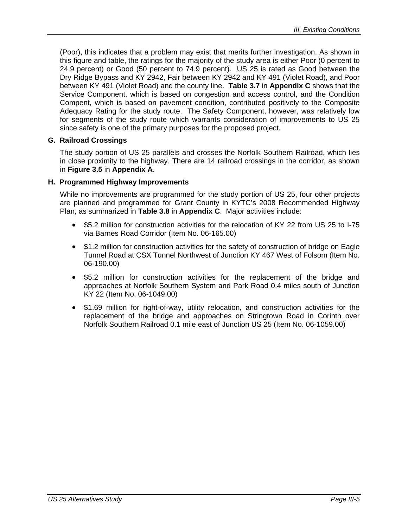(Poor), this indicates that a problem may exist that merits further investigation. As shown in this figure and table, the ratings for the majority of the study area is either Poor (0 percent to 24.9 percent) or Good (50 percent to 74.9 percent). US 25 is rated as Good between the Dry Ridge Bypass and KY 2942, Fair between KY 2942 and KY 491 (Violet Road), and Poor between KY 491 (Violet Road) and the county line. **Table 3.7** in **Appendix C** shows that the Service Component, which is based on congestion and access control, and the Condition Compent, which is based on pavement condition, contributed positively to the Composite Adequacy Rating for the study route. The Safety Component, however, was relatively low for segments of the study route which warrants consideration of improvements to US 25 since safety is one of the primary purposes for the proposed project.

#### **G. Railroad Crossings**

The study portion of US 25 parallels and crosses the Norfolk Southern Railroad, which lies in close proximity to the highway. There are 14 railroad crossings in the corridor, as shown in **Figure 3.5** in **Appendix A**.

#### **H. Programmed Highway Improvements**

While no improvements are programmed for the study portion of US 25, four other projects are planned and programmed for Grant County in KYTC's 2008 Recommended Highway Plan, as summarized in **Table 3.8** in **Appendix C**. Major activities include:

- \$5.2 million for construction activities for the relocation of KY 22 from US 25 to I-75 via Barnes Road Corridor (Item No. 06-165.00)
- \$1.2 million for construction activities for the safety of construction of bridge on Eagle Tunnel Road at CSX Tunnel Northwest of Junction KY 467 West of Folsom (Item No. 06-190.00)
- \$5.2 million for construction activities for the replacement of the bridge and approaches at Norfolk Southern System and Park Road 0.4 miles south of Junction KY 22 (Item No. 06-1049.00)
- \$1.69 million for right-of-way, utility relocation, and construction activities for the replacement of the bridge and approaches on Stringtown Road in Corinth over Norfolk Southern Railroad 0.1 mile east of Junction US 25 (Item No. 06-1059.00)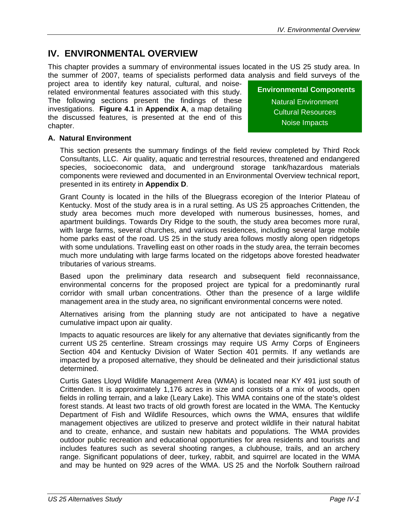## **IV. ENVIRONMENTAL OVERVIEW**

This chapter provides a summary of environmental issues located in the US 25 study area. In the summer of 2007, teams of specialists performed data analysis and field surveys of the

project area to identify key natural, cultural, and noiserelated environmental features associated with this study. The following sections present the findings of these investigations. **Figure 4.1** in **Appendix A**, a map detailing the discussed features, is presented at the end of this chapter.

#### **Environmental Components**

Natural Environment Cultural Resources Noise Impacts

#### **A. Natural Environment**

This section presents the summary findings of the field review completed by Third Rock Consultants, LLC. Air quality, aquatic and terrestrial resources, threatened and endangered species, socioeconomic data, and underground storage tank/hazardous materials components were reviewed and documented in an Environmental Overview technical report, presented in its entirety in **Appendix D**.

Grant County is located in the hills of the Bluegrass ecoregion of the Interior Plateau of Kentucky. Most of the study area is in a rural setting. As US 25 approaches Crittenden, the study area becomes much more developed with numerous businesses, homes, and apartment buildings. Towards Dry Ridge to the south, the study area becomes more rural, with large farms, several churches, and various residences, including several large mobile home parks east of the road. US 25 in the study area follows mostly along open ridgetops with some undulations. Travelling east on other roads in the study area, the terrain becomes much more undulating with large farms located on the ridgetops above forested headwater tributaries of various streams.

Based upon the preliminary data research and subsequent field reconnaissance, environmental concerns for the proposed project are typical for a predominantly rural corridor with small urban concentrations. Other than the presence of a large wildlife management area in the study area, no significant environmental concerns were noted.

Alternatives arising from the planning study are not anticipated to have a negative cumulative impact upon air quality.

Impacts to aquatic resources are likely for any alternative that deviates significantly from the current US 25 centerline. Stream crossings may require US Army Corps of Engineers Section 404 and Kentucky Division of Water Section 401 permits. If any wetlands are impacted by a proposed alternative, they should be delineated and their jurisdictional status determined.

Curtis Gates Lloyd Wildlife Management Area (WMA) is located near KY 491 just south of Crittenden. It is approximately 1,176 acres in size and consists of a mix of woods, open fields in rolling terrain, and a lake (Leary Lake). This WMA contains one of the state's oldest forest stands. At least two tracts of old growth forest are located in the WMA. The Kentucky Department of Fish and Wildlife Resources, which owns the WMA, ensures that wildlife management objectives are utilized to preserve and protect wildlife in their natural habitat and to create, enhance, and sustain new habitats and populations. The WMA provides outdoor public recreation and educational opportunities for area residents and tourists and includes features such as several shooting ranges, a clubhouse, trails, and an archery range. Significant populations of deer, turkey, rabbit, and squirrel are located in the WMA and may be hunted on 929 acres of the WMA. US 25 and the Norfolk Southern railroad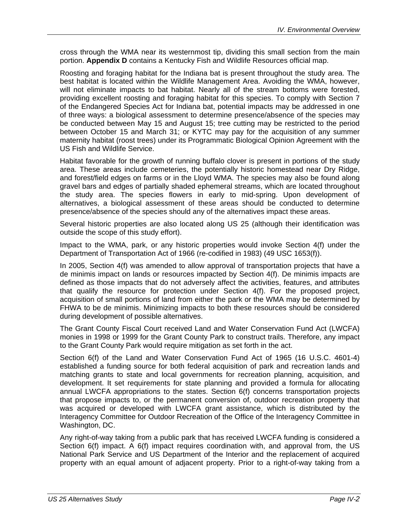cross through the WMA near its westernmost tip, dividing this small section from the main portion. **Appendix D** contains a Kentucky Fish and Wildlife Resources official map.

Roosting and foraging habitat for the Indiana bat is present throughout the study area. The best habitat is located within the Wildlife Management Area. Avoiding the WMA, however, will not eliminate impacts to bat habitat. Nearly all of the stream bottoms were forested, providing excellent roosting and foraging habitat for this species. To comply with Section 7 of the Endangered Species Act for Indiana bat, potential impacts may be addressed in one of three ways: a biological assessment to determine presence/absence of the species may be conducted between May 15 and August 15; tree cutting may be restricted to the period between October 15 and March 31; or KYTC may pay for the acquisition of any summer maternity habitat (roost trees) under its Programmatic Biological Opinion Agreement with the US Fish and Wildlife Service.

Habitat favorable for the growth of running buffalo clover is present in portions of the study area. These areas include cemeteries, the potentially historic homestead near Dry Ridge, and forest/field edges on farms or in the Lloyd WMA. The species may also be found along gravel bars and edges of partially shaded ephemeral streams, which are located throughout the study area. The species flowers in early to mid-spring. Upon development of alternatives, a biological assessment of these areas should be conducted to determine presence/absence of the species should any of the alternatives impact these areas.

Several historic properties are also located along US 25 (although their identification was outside the scope of this study effort).

Impact to the WMA, park, or any historic properties would invoke Section 4(f) under the Department of Transportation Act of 1966 (re-codified in 1983) (49 USC 1653(f)).

In 2005, Section 4(f) was amended to allow approval of transportation projects that have a de minimis impact on lands or resources impacted by Section 4(f). De minimis impacts are defined as those impacts that do not adversely affect the activities, features, and attributes that qualify the resource for protection under Section 4(f). For the proposed project, acquisition of small portions of land from either the park or the WMA may be determined by FHWA to be de minimis. Minimizing impacts to both these resources should be considered during development of possible alternatives.

The Grant County Fiscal Court received Land and Water Conservation Fund Act (LWCFA) monies in 1998 or 1999 for the Grant County Park to construct trails. Therefore, any impact to the Grant County Park would require mitigation as set forth in the act.

Section 6(f) of the Land and Water Conservation Fund Act of 1965 (16 U.S.C. 4601-4) established a funding source for both federal acquisition of park and recreation lands and matching grants to state and local governments for recreation planning, acquisition, and development. It set requirements for state planning and provided a formula for allocating annual LWCFA appropriations to the states. Section 6(f) concerns transportation projects that propose impacts to, or the permanent conversion of, outdoor recreation property that was acquired or developed with LWCFA grant assistance, which is distributed by the Interagency Committee for Outdoor Recreation of the Office of the Interagency Committee in Washington, DC.

Any right-of-way taking from a public park that has received LWCFA funding is considered a Section 6(f) impact. A 6(f) impact requires coordination with, and approval from, the US National Park Service and US Department of the Interior and the replacement of acquired property with an equal amount of adjacent property. Prior to a right-of-way taking from a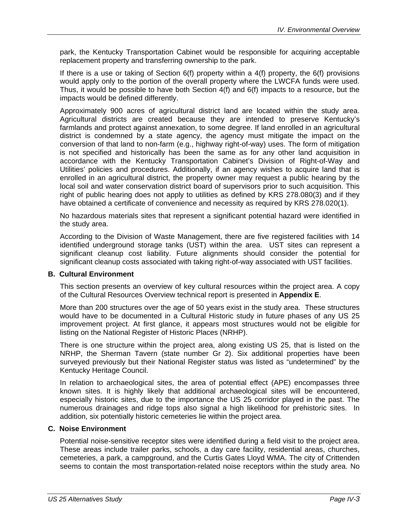park, the Kentucky Transportation Cabinet would be responsible for acquiring acceptable replacement property and transferring ownership to the park.

If there is a use or taking of Section 6(f) property within a 4(f) property, the 6(f) provisions would apply only to the portion of the overall property where the LWCFA funds were used. Thus, it would be possible to have both Section 4(f) and 6(f) impacts to a resource, but the impacts would be defined differently.

Approximately 900 acres of agricultural district land are located within the study area. Agricultural districts are created because they are intended to preserve Kentucky's farmlands and protect against annexation, to some degree. If land enrolled in an agricultural district is condemned by a state agency, the agency must mitigate the impact on the conversion of that land to non-farm (e.g., highway right-of-way) uses. The form of mitigation is not specified and historically has been the same as for any other land acquisition in accordance with the Kentucky Transportation Cabinet's Division of Right-of-Way and Utilities' policies and procedures. Additionally, if an agency wishes to acquire land that is enrolled in an agricultural district, the property owner may request a public hearing by the local soil and water conservation district board of supervisors prior to such acquisition. This right of public hearing does not apply to utilities as defined by KRS 278.080(3) and if they have obtained a certificate of convenience and necessity as required by KRS 278.020(1).

No hazardous materials sites that represent a significant potential hazard were identified in the study area.

According to the Division of Waste Management, there are five registered facilities with 14 identified underground storage tanks (UST) within the area.UST sites can represent a significant cleanup cost liability. Future alignments should consider the potential for significant cleanup costs associated with taking right-of-way associated with UST facilities.

#### **B. Cultural Environment**

This section presents an overview of key cultural resources within the project area. A copy of the Cultural Resources Overview technical report is presented in **Appendix E**.

More than 200 structures over the age of 50 years exist in the study area. These structures would have to be documented in a Cultural Historic study in future phases of any US 25 improvement project. At first glance, it appears most structures would not be eligible for listing on the National Register of Historic Places (NRHP).

There is one structure within the project area, along existing US 25, that is listed on the NRHP, the Sherman Tavern (state number Gr 2). Six additional properties have been surveyed previously but their National Register status was listed as "undetermined" by the Kentucky Heritage Council.

In relation to archaeological sites, the area of potential effect (APE) encompasses three known sites. It is highly likely that additional archaeological sites will be encountered, especially historic sites, due to the importance the US 25 corridor played in the past. The numerous drainages and ridge tops also signal a high likelihood for prehistoric sites. In addition, six potentially historic cemeteries lie within the project area.

#### **C. Noise Environment**

Potential noise-sensitive receptor sites were identified during a field visit to the project area. These areas include trailer parks, schools, a day care facility, residential areas, churches, cemeteries, a park, a campground, and the Curtis Gates Lloyd WMA. The city of Crittenden seems to contain the most transportation-related noise receptors within the study area. No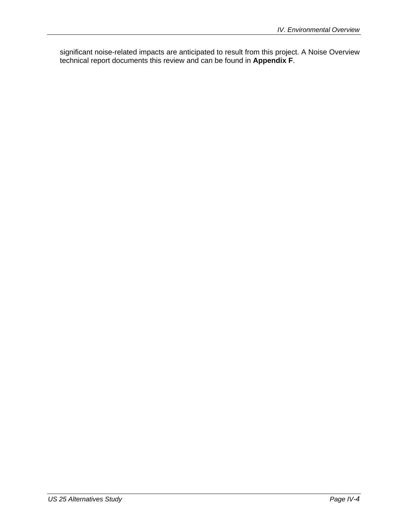significant noise-related impacts are anticipated to result from this project. A Noise Overview technical report documents this review and can be found in **Appendix F**.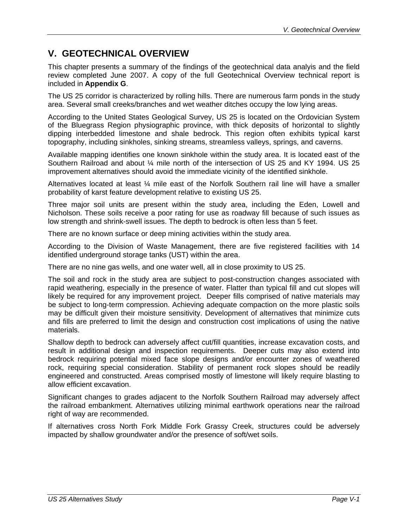## **V. GEOTECHNICAL OVERVIEW**

This chapter presents a summary of the findings of the geotechnical data analyis and the field review completed June 2007. A copy of the full Geotechnical Overview technical report is included in **Appendix G**.

The US 25 corridor is characterized by rolling hills. There are numerous farm ponds in the study area. Several small creeks/branches and wet weather ditches occupy the low lying areas.

According to the United States Geological Survey, US 25 is located on the Ordovician System of the Bluegrass Region physiographic province, with thick deposits of horizontal to slightly dipping interbedded limestone and shale bedrock. This region often exhibits typical karst topography, including sinkholes, sinking streams, streamless valleys, springs, and caverns.

Available mapping identifies one known sinkhole within the study area. It is located east of the Southern Railroad and about ¼ mile north of the intersection of US 25 and KY 1994. US 25 improvement alternatives should avoid the immediate vicinity of the identified sinkhole.

Alternatives located at least ¼ mile east of the Norfolk Southern rail line will have a smaller probability of karst feature development relative to existing US 25.

Three major soil units are present within the study area, including the Eden, Lowell and Nicholson. These soils receive a poor rating for use as roadway fill because of such issues as low strength and shrink-swell issues. The depth to bedrock is often less than 5 feet.

There are no known surface or deep mining activities within the study area.

According to the Division of Waste Management, there are five registered facilities with 14 identified underground storage tanks (UST) within the area.

There are no nine gas wells, and one water well, all in close proximity to US 25.

The soil and rock in the study area are subject to post-construction changes associated with rapid weathering, especially in the presence of water. Flatter than typical fill and cut slopes will likely be required for any improvement project. Deeper fills comprised of native materials may be subject to long-term compression. Achieving adequate compaction on the more plastic soils may be difficult given their moisture sensitivity. Development of alternatives that minimize cuts and fills are preferred to limit the design and construction cost implications of using the native materials.

Shallow depth to bedrock can adversely affect cut/fill quantities, increase excavation costs, and result in additional design and inspection requirements. Deeper cuts may also extend into bedrock requiring potential mixed face slope designs and/or encounter zones of weathered rock, requiring special consideration. Stability of permanent rock slopes should be readily engineered and constructed. Areas comprised mostly of limestone will likely require blasting to allow efficient excavation.

Significant changes to grades adjacent to the Norfolk Southern Railroad may adversely affect the railroad embankment. Alternatives utilizing minimal earthwork operations near the railroad right of way are recommended.

If alternatives cross North Fork Middle Fork Grassy Creek, structures could be adversely impacted by shallow groundwater and/or the presence of soft/wet soils.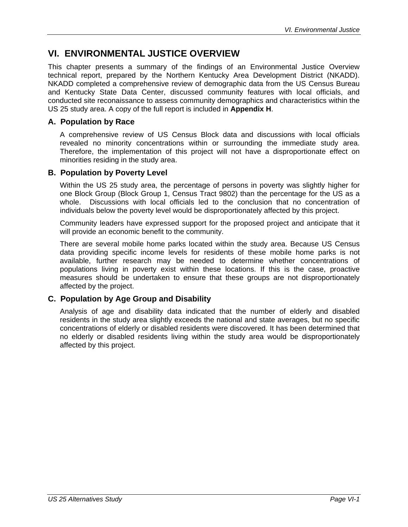## **VI. ENVIRONMENTAL JUSTICE OVERVIEW**

This chapter presents a summary of the findings of an Environmental Justice Overview technical report, prepared by the Northern Kentucky Area Development District (NKADD). NKADD completed a comprehensive review of demographic data from the US Census Bureau and Kentucky State Data Center, discussed community features with local officials, and conducted site reconaissance to assess community demographics and characteristics within the US 25 study area. A copy of the full report is included in **Appendix H**.

#### **A. Population by Race**

A comprehensive review of US Census Block data and discussions with local officials revealed no minority concentrations within or surrounding the immediate study area. Therefore, the implementation of this project will not have a disproportionate effect on minorities residing in the study area.

#### **B. Population by Poverty Level**

Within the US 25 study area, the percentage of persons in poverty was slightly higher for one Block Group (Block Group 1, Census Tract 9802) than the percentage for the US as a whole. Discussions with local officials led to the conclusion that no concentration of individuals below the poverty level would be disproportionately affected by this project.

Community leaders have expressed support for the proposed project and anticipate that it will provide an economic benefit to the community.

There are several mobile home parks located within the study area. Because US Census data providing specific income levels for residents of these mobile home parks is not available, further research may be needed to determine whether concentrations of populations living in poverty exist within these locations. If this is the case, proactive measures should be undertaken to ensure that these groups are not disproportionately affected by the project.

#### **C. Population by Age Group and Disability**

Analysis of age and disability data indicated that the number of elderly and disabled residents in the study area slightly exceeds the national and state averages, but no specific concentrations of elderly or disabled residents were discovered. It has been determined that no elderly or disabled residents living within the study area would be disproportionately affected by this project.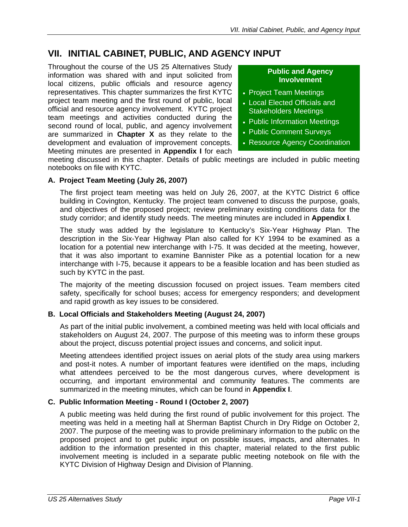## **VII. INITIAL CABINET, PUBLIC, AND AGENCY INPUT**

Throughout the course of the US 25 Alternatives Study information was shared with and input solicited from local citizens, public officials and resource agency representatives. This chapter summarizes the first KYTC project team meeting and the first round of public, local official and resource agency involvement. KYTC project team meetings and activities conducted during the second round of local, public, and agency involvement are summarized in **Chapter X** as they relate to the development and evaluation of improvement concepts. Meeting minutes are presented in **Appendix I** for each

#### **Public and Agency Involvement**

- Project Team Meetings
- Local Elected Officials and Stakeholders Meetings
- Public Information Meetings
- Public Comment Surveys
- Resource Agency Coordination

meeting discussed in this chapter. Details of public meetings are included in public meeting notebooks on file with KYTC.

#### **A. Project Team Meeting (July 26, 2007)**

The first project team meeting was held on July 26, 2007, at the KYTC District 6 office building in Covington, Kentucky. The project team convened to discuss the purpose, goals, and objectives of the proposed project; review preliminary existing conditions data for the study corridor; and identify study needs. The meeting minutes are included in **Appendix I**.

The study was added by the legislature to Kentucky's Six-Year Highway Plan. The description in the Six-Year Highway Plan also called for KY 1994 to be examined as a location for a potential new interchange with I-75. It was decided at the meeting, however, that it was also important to examine Bannister Pike as a potential location for a new interchange with I-75, because it appears to be a feasible location and has been studied as such by KYTC in the past.

The majority of the meeting discussion focused on project issues. Team members cited safety, specifically for school buses; access for emergency responders; and development and rapid growth as key issues to be considered.

#### **B. Local Officials and Stakeholders Meeting (August 24, 2007)**

As part of the initial public involvement, a combined meeting was held with local officials and stakeholders on August 24, 2007. The purpose of this meeting was to inform these groups about the project, discuss potential project issues and concerns, and solicit input.

Meeting attendees identified project issues on aerial plots of the study area using markers and post-it notes. A number of important features were identified on the maps, including what attendees perceived to be the most dangerous curves, where development is occurring, and important environmental and community features. The comments are summarized in the meeting minutes, which can be found in **Appendix I**.

#### **C. Public Information Meeting - Round I (October 2, 2007)**

A public meeting was held during the first round of public involvement for this project. The meeting was held in a meeting hall at Sherman Baptist Church in Dry Ridge on October 2, 2007. The purpose of the meeting was to provide preliminary information to the public on the proposed project and to get public input on possible issues, impacts, and alternates. In addition to the information presented in this chapter, material related to the first public involvement meeting is included in a separate public meeting notebook on file with the KYTC Division of Highway Design and Division of Planning.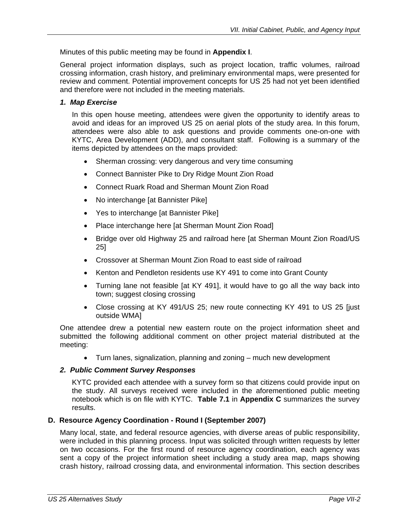Minutes of this public meeting may be found in **Appendix I**.

General project information displays, such as project location, traffic volumes, railroad crossing information, crash history, and preliminary environmental maps, were presented for review and comment. Potential improvement concepts for US 25 had not yet been identified and therefore were not included in the meeting materials.

#### *1. Map Exercise*

In this open house meeting, attendees were given the opportunity to identify areas to avoid and ideas for an improved US 25 on aerial plots of the study area. In this forum, attendees were also able to ask questions and provide comments one-on-one with KYTC, Area Development (ADD), and consultant staff. Following is a summary of the items depicted by attendees on the maps provided:

- Sherman crossing: very dangerous and very time consuming
- Connect Bannister Pike to Dry Ridge Mount Zion Road
- Connect Ruark Road and Sherman Mount Zion Road
- No interchange [at Bannister Pike]
- Yes to interchange [at Bannister Pike]
- Place interchange here [at Sherman Mount Zion Road]
- Bridge over old Highway 25 and railroad here [at Sherman Mount Zion Road/US 25]
- Crossover at Sherman Mount Zion Road to east side of railroad
- Kenton and Pendleton residents use KY 491 to come into Grant County
- Turning lane not feasible [at KY 491], it would have to go all the way back into town; suggest closing crossing
- Close crossing at KY 491/US 25; new route connecting KY 491 to US 25 [just outside WMA]

One attendee drew a potential new eastern route on the project information sheet and submitted the following additional comment on other project material distributed at the meeting:

• Turn lanes, signalization, planning and zoning – much new development

#### *2. Public Comment Survey Responses*

KYTC provided each attendee with a survey form so that citizens could provide input on the study. All surveys received were included in the aforementioned public meeting notebook which is on file with KYTC. **Table 7.1** in **Appendix C** summarizes the survey results.

#### **D. Resource Agency Coordination - Round I (September 2007)**

Many local, state, and federal resource agencies, with diverse areas of public responsibility, were included in this planning process. Input was solicited through written requests by letter on two occasions. For the first round of resource agency coordination, each agency was sent a copy of the project information sheet including a study area map, maps showing crash history, railroad crossing data, and environmental information. This section describes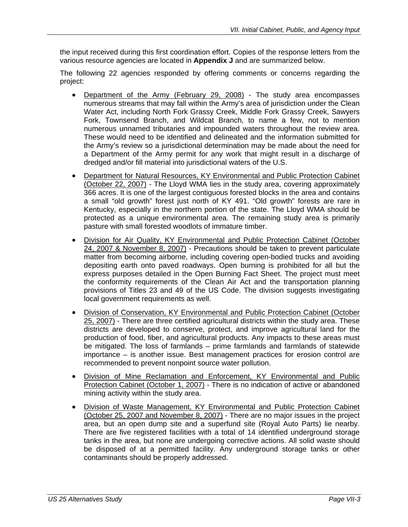the input received during this first coordination effort. Copies of the response letters from the various resource agencies are located in **Appendix J** and are summarized below.

The following 22 agencies responded by offering comments or concerns regarding the project:

- Department of the Army (February 29, 2008) The study area encompasses numerous streams that may fall within the Army's area of jurisdiction under the Clean Water Act, including North Fork Grassy Creek, Middle Fork Grassy Creek, Sawyers Fork, Townsend Branch, and Wildcat Branch, to name a few, not to mention numerous unnamed tributaries and impounded waters throughout the review area. These would need to be identified and delineated and the information submitted for the Army's review so a jurisdictional determination may be made about the need for a Department of the Army permit for any work that might result in a discharge of dredged and/or fill material into jurisdictional waters of the U.S.
- Department for Natural Resources, KY Environmental and Public Protection Cabinet (October 22, 2007) - The Lloyd WMA lies in the study area, covering approximately 366 acres. It is one of the largest contiguous forested blocks in the area and contains a small "old growth" forest just north of KY 491. "Old growth" forests are rare in Kentucky, especially in the northern portion of the state. The Lloyd WMA should be protected as a unique environmental area. The remaining study area is primarily pasture with small forested woodlots of immature timber.
- Division for Air Quality, KY Environmental and Public Protection Cabinet (October 24, 2007 & November 8, 2007) - Precautions should be taken to prevent particulate matter from becoming airborne, including covering open-bodied trucks and avoiding depositing earth onto paved roadways. Open burning is prohibited for all but the express purposes detailed in the Open Burning Fact Sheet. The project must meet the conformity requirements of the Clean Air Act and the transportation planning provisions of Titles 23 and 49 of the US Code. The division suggests investigating local government requirements as well.
- Division of Conservation, KY Environmental and Public Protection Cabinet (October 25, 2007) - There are three certified agricultural districts within the study area. These districts are developed to conserve, protect, and improve agricultural land for the production of food, fiber, and agricultural products. Any impacts to these areas must be mitigated. The loss of farmlands – prime farmlands and farmlands of statewide importance – is another issue. Best management practices for erosion control are recommended to prevent nonpoint source water pollution.
- Division of Mine Reclamation and Enforcement, KY Environmental and Public Protection Cabinet (October 1, 2007) - There is no indication of active or abandoned mining activity within the study area.
- Division of Waste Management, KY Environmental and Public Protection Cabinet (October 25, 2007 and November 8, 2007) - There are no major issues in the project area, but an open dump site and a superfund site (Royal Auto Parts) lie nearby. There are five registered facilities with a total of 14 identified underground storage tanks in the area, but none are undergoing corrective actions. All solid waste should be disposed of at a permitted facility. Any underground storage tanks or other contaminants should be properly addressed.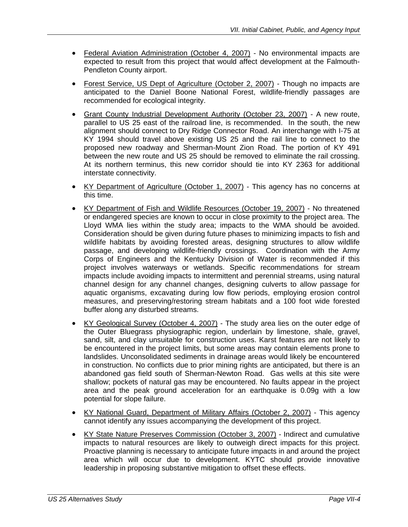- Federal Aviation Administration (October 4, 2007) No environmental impacts are expected to result from this project that would affect development at the Falmouth-Pendleton County airport.
- Forest Service, US Dept of Agriculture (October 2, 2007) Though no impacts are anticipated to the Daniel Boone National Forest, wildlife-friendly passages are recommended for ecological integrity.
- Grant County Industrial Development Authority (October 23, 2007) A new route, parallel to US 25 east of the railroad line, is recommended. In the south, the new alignment should connect to Dry Ridge Connector Road. An interchange with I-75 at KY 1994 should travel above existing US 25 and the rail line to connect to the proposed new roadway and Sherman-Mount Zion Road. The portion of KY 491 between the new route and US 25 should be removed to eliminate the rail crossing. At its northern terminus, this new corridor should tie into KY 2363 for additional interstate connectivity.
- KY Department of Agriculture (October 1, 2007) This agency has no concerns at this time.
- KY Department of Fish and Wildlife Resources (October 19, 2007) No threatened or endangered species are known to occur in close proximity to the project area. The Lloyd WMA lies within the study area; impacts to the WMA should be avoided. Consideration should be given during future phases to minimizing impacts to fish and wildlife habitats by avoiding forested areas, designing structures to allow wildlife passage, and developing wildlife-friendly crossings. Coordination with the Army Corps of Engineers and the Kentucky Division of Water is recommended if this project involves waterways or wetlands. Specific recommendations for stream impacts include avoiding impacts to intermittent and perennial streams, using natural channel design for any channel changes, designing culverts to allow passage for aquatic organisms, excavating during low flow periods, employing erosion control measures, and preserving/restoring stream habitats and a 100 foot wide forested buffer along any disturbed streams.
- KY Geological Survey (October 4, 2007) The study area lies on the outer edge of the Outer Bluegrass physiographic region, underlain by limestone, shale, gravel, sand, silt, and clay unsuitable for construction uses. Karst features are not likely to be encountered in the project limits, but some areas may contain elements prone to landslides. Unconsolidated sediments in drainage areas would likely be encountered in construction. No conflicts due to prior mining rights are anticipated, but there is an abandoned gas field south of Sherman-Newton Road. Gas wells at this site were shallow; pockets of natural gas may be encountered. No faults appear in the project area and the peak ground acceleration for an earthquake is 0.09g with a low potential for slope failure.
- KY National Guard, Department of Military Affairs (October 2, 2007) This agency cannot identify any issues accompanying the development of this project.
- KY State Nature Preserves Commission (October 3, 2007) Indirect and cumulative impacts to natural resources are likely to outweigh direct impacts for this project. Proactive planning is necessary to anticipate future impacts in and around the project area which will occur due to development. KYTC should provide innovative leadership in proposing substantive mitigation to offset these effects.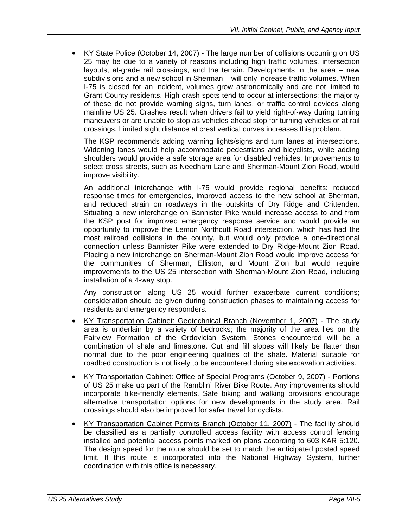• KY State Police (October 14, 2007) - The large number of collisions occurring on US 25 may be due to a variety of reasons including high traffic volumes, intersection layouts, at-grade rail crossings, and the terrain. Developments in the area – new subdivisions and a new school in Sherman – will only increase traffic volumes. When I-75 is closed for an incident, volumes grow astronomically and are not limited to Grant County residents. High crash spots tend to occur at intersections; the majority of these do not provide warning signs, turn lanes, or traffic control devices along mainline US 25. Crashes result when drivers fail to yield right-of-way during turning maneuvers or are unable to stop as vehicles ahead stop for turning vehicles or at rail crossings. Limited sight distance at crest vertical curves increases this problem.

The KSP recommends adding warning lights/signs and turn lanes at intersections. Widening lanes would help accommodate pedestrians and bicyclists, while adding shoulders would provide a safe storage area for disabled vehicles. Improvements to select cross streets, such as Needham Lane and Sherman-Mount Zion Road, would improve visibility.

An additional interchange with I-75 would provide regional benefits: reduced response times for emergencies, improved access to the new school at Sherman, and reduced strain on roadways in the outskirts of Dry Ridge and Crittenden. Situating a new interchange on Bannister Pike would increase access to and from the KSP post for improved emergency response service and would provide an opportunity to improve the Lemon Northcutt Road intersection, which has had the most railroad collisions in the county, but would only provide a one-directional connection unless Bannister Pike were extended to Dry Ridge-Mount Zion Road. Placing a new interchange on Sherman-Mount Zion Road would improve access for the communities of Sherman, Elliston, and Mount Zion but would require improvements to the US 25 intersection with Sherman-Mount Zion Road, including installation of a 4-way stop.

Any construction along US 25 would further exacerbate current conditions; consideration should be given during construction phases to maintaining access for residents and emergency responders.

- KY Transportation Cabinet: Geotechnical Branch (November 1, 2007) The study area is underlain by a variety of bedrocks; the majority of the area lies on the Fairview Formation of the Ordovician System. Stones encountered will be a combination of shale and limestone. Cut and fill slopes will likely be flatter than normal due to the poor engineering qualities of the shale. Material suitable for roadbed construction is not likely to be encountered during site excavation activities.
- KY Transportation Cabinet: Office of Special Programs (October 9, 2007) Portions of US 25 make up part of the Ramblin' River Bike Route. Any improvements should incorporate bike-friendly elements. Safe biking and walking provisions encourage alternative transportation options for new developments in the study area. Rail crossings should also be improved for safer travel for cyclists.
- KY Transportation Cabinet Permits Branch (October 11, 2007) The facility should be classified as a partially controlled access facility with access control fencing installed and potential access points marked on plans according to 603 KAR 5:120. The design speed for the route should be set to match the anticipated posted speed limit. If this route is incorporated into the National Highway System, further coordination with this office is necessary.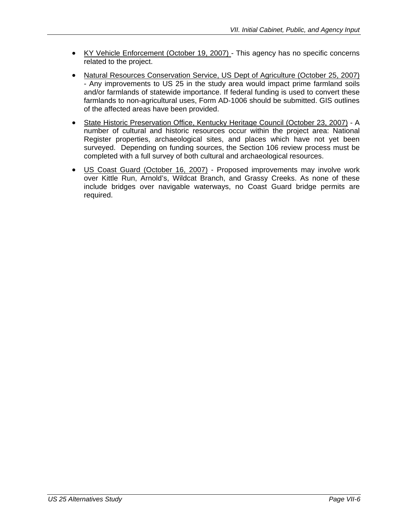- KY Vehicle Enforcement (October 19, 2007) This agency has no specific concerns related to the project.
- Natural Resources Conservation Service, US Dept of Agriculture (October 25, 2007) - Any improvements to US 25 in the study area would impact prime farmland soils and/or farmlands of statewide importance. If federal funding is used to convert these farmlands to non-agricultural uses, Form AD-1006 should be submitted. GIS outlines of the affected areas have been provided.
- State Historic Preservation Office, Kentucky Heritage Council (October 23, 2007) A number of cultural and historic resources occur within the project area: National Register properties, archaeological sites, and places which have not yet been surveyed. Depending on funding sources, the Section 106 review process must be completed with a full survey of both cultural and archaeological resources.
- US Coast Guard (October 16, 2007) Proposed improvements may involve work over Kittle Run, Arnold's, Wildcat Branch, and Grassy Creeks. As none of these include bridges over navigable waterways, no Coast Guard bridge permits are required.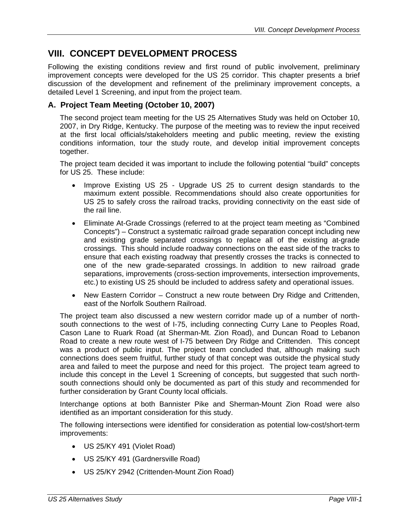### **VIII. CONCEPT DEVELOPMENT PROCESS**

Following the existing conditions review and first round of public involvement, preliminary improvement concepts were developed for the US 25 corridor. This chapter presents a brief discussion of the development and refinement of the preliminary improvement concepts, a detailed Level 1 Screening, and input from the project team.

#### **A. Project Team Meeting (October 10, 2007)**

The second project team meeting for the US 25 Alternatives Study was held on October 10, 2007, in Dry Ridge, Kentucky. The purpose of the meeting was to review the input received at the first local officials/stakeholders meeting and public meeting, review the existing conditions information, tour the study route, and develop initial improvement concepts together.

The project team decided it was important to include the following potential "build" concepts for US 25. These include:

- Improve Existing US 25 Upgrade US 25 to current design standards to the maximum extent possible. Recommendations should also create opportunities for US 25 to safely cross the railroad tracks, providing connectivity on the east side of the rail line.
- Eliminate At-Grade Crossings (referred to at the project team meeting as "Combined Concepts") – Construct a systematic railroad grade separation concept including new and existing grade separated crossings to replace all of the existing at-grade crossings. This should include roadway connections on the east side of the tracks to ensure that each existing roadway that presently crosses the tracks is connected to one of the new grade-separated crossings. In addition to new railroad grade separations, improvements (cross-section improvements, intersection improvements, etc.) to existing US 25 should be included to address safety and operational issues.
- New Eastern Corridor Construct a new route between Dry Ridge and Crittenden, east of the Norfolk Southern Railroad.

The project team also discussed a new western corridor made up of a number of northsouth connections to the west of I-75, including connecting Curry Lane to Peoples Road, Cason Lane to Ruark Road (at Sherman-Mt. Zion Road), and Duncan Road to Lebanon Road to create a new route west of I-75 between Dry Ridge and Crittenden. This concept was a product of public input. The project team concluded that, although making such connections does seem fruitful, further study of that concept was outside the physical study area and failed to meet the purpose and need for this project. The project team agreed to include this concept in the Level 1 Screening of concepts, but suggested that such northsouth connections should only be documented as part of this study and recommended for further consideration by Grant County local officials.

Interchange options at both Bannister Pike and Sherman-Mount Zion Road were also identified as an important consideration for this study.

The following intersections were identified for consideration as potential low-cost/short-term improvements:

- US 25/KY 491 (Violet Road)
- US 25/KY 491 (Gardnersville Road)
- US 25/KY 2942 (Crittenden-Mount Zion Road)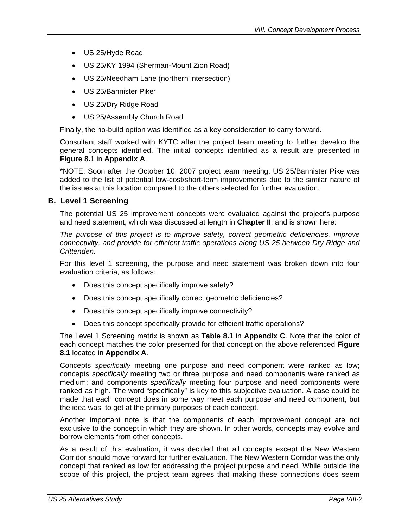- US 25/Hyde Road
- US 25/KY 1994 (Sherman-Mount Zion Road)
- US 25/Needham Lane (northern intersection)
- US 25/Bannister Pike\*
- US 25/Dry Ridge Road
- US 25/Assembly Church Road

Finally, the no-build option was identified as a key consideration to carry forward.

Consultant staff worked with KYTC after the project team meeting to further develop the general concepts identified. The initial concepts identified as a result are presented in **Figure 8.1** in **Appendix A**.

\*NOTE: Soon after the October 10, 2007 project team meeting, US 25/Bannister Pike was added to the list of potential low-cost/short-term improvements due to the similar nature of the issues at this location compared to the others selected for further evaluation.

#### **B. Level 1 Screening**

The potential US 25 improvement concepts were evaluated against the project's purpose and need statement, which was discussed at length in **Chapter II**, and is shown here:

*The purpose of this project is to improve safety, correct geometric deficiencies, improve connectivity, and provide for efficient traffic operations along US 25 between Dry Ridge and Crittenden.* 

For this level 1 screening, the purpose and need statement was broken down into four evaluation criteria, as follows:

- Does this concept specifically improve safety?
- Does this concept specifically correct geometric deficiencies?
- Does this concept specifically improve connectivity?
- Does this concept specifically provide for efficient traffic operations?

The Level 1 Screening matrix is shown as **Table 8.1** in **Appendix C**. Note that the color of each concept matches the color presented for that concept on the above referenced **Figure 8.1** located in **Appendix A**.

Concepts *specifically* meeting one purpose and need component were ranked as low; concepts *specifically* meeting two or three purpose and need components were ranked as medium; and components *specifically* meeting four purpose and need components were ranked as high. The word "specifically" is key to this subjective evaluation. A case could be made that each concept does in some way meet each purpose and need component, but the idea was to get at the primary purposes of each concept.

Another important note is that the components of each improvement concept are not exclusive to the concept in which they are shown. In other words, concepts may evolve and borrow elements from other concepts.

As a result of this evaluation, it was decided that all concepts except the New Western Corridor should move forward for further evaluation. The New Western Corridor was the only concept that ranked as low for addressing the project purpose and need. While outside the scope of this project, the project team agrees that making these connections does seem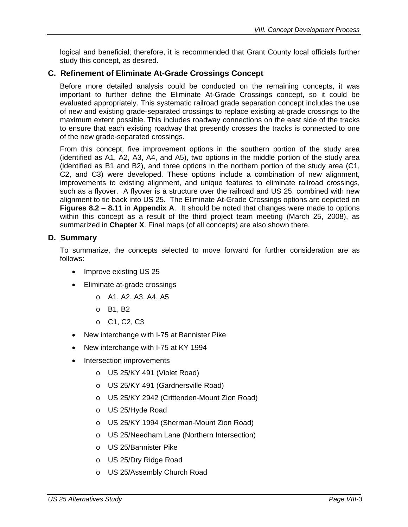logical and beneficial; therefore, it is recommended that Grant County local officials further study this concept, as desired.

#### **C. Refinement of Eliminate At-Grade Crossings Concept**

Before more detailed analysis could be conducted on the remaining concepts, it was important to further define the Eliminate At-Grade Crossings concept, so it could be evaluated appropriately. This systematic railroad grade separation concept includes the use of new and existing grade-separated crossings to replace existing at-grade crossings to the maximum extent possible. This includes roadway connections on the east side of the tracks to ensure that each existing roadway that presently crosses the tracks is connected to one of the new grade-separated crossings.

From this concept, five improvement options in the southern portion of the study area (identified as A1, A2, A3, A4, and A5), two options in the middle portion of the study area (identified as B1 and B2), and three options in the northern portion of the study area (C1, C2, and C3) were developed. These options include a combination of new alignment, improvements to existing alignment, and unique features to eliminate railroad crossings, such as a flyover. A flyover is a structure over the railroad and US 25, combined with new alignment to tie back into US 25. The Eliminate At-Grade Crossings options are depicted on **Figures 8.2** – **8.11** in **Appendix A**. It should be noted that changes were made to options within this concept as a result of the third project team meeting (March 25, 2008), as summarized in **Chapter X**. Final maps (of all concepts) are also shown there.

#### **D. Summary**

To summarize, the concepts selected to move forward for further consideration are as follows:

- Improve existing US 25
- Eliminate at-grade crossings
	- o A1, A2, A3, A4, A5
	- o B1, B2
	- o C1, C2, C3
- New interchange with I-75 at Bannister Pike
- New interchange with I-75 at KY 1994
- Intersection improvements
	- o US 25/KY 491 (Violet Road)
	- o US 25/KY 491 (Gardnersville Road)
	- o US 25/KY 2942 (Crittenden-Mount Zion Road)
	- o US 25/Hyde Road
	- o US 25/KY 1994 (Sherman-Mount Zion Road)
	- o US 25/Needham Lane (Northern Intersection)
	- o US 25/Bannister Pike
	- o US 25/Dry Ridge Road
	- o US 25/Assembly Church Road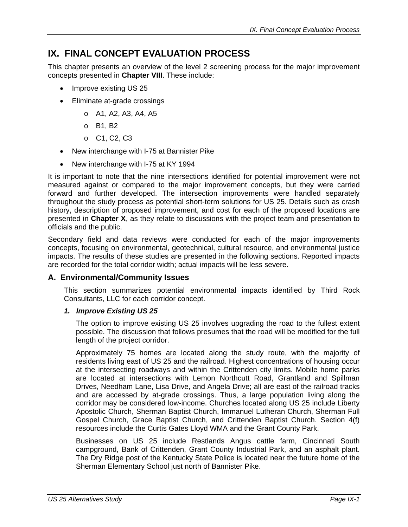## **IX. FINAL CONCEPT EVALUATION PROCESS**

This chapter presents an overview of the level 2 screening process for the major improvement concepts presented in **Chapter VIII**. These include:

- Improve existing US 25
- Eliminate at-grade crossings
	- o A1, A2, A3, A4, A5
	- o B1, B2
	- o C1, C2, C3
- New interchange with I-75 at Bannister Pike
- New interchange with I-75 at KY 1994

It is important to note that the nine intersections identified for potential improvement were not measured against or compared to the major improvement concepts, but they were carried forward and further developed. The intersection improvements were handled separately throughout the study process as potential short-term solutions for US 25. Details such as crash history, description of proposed improvement, and cost for each of the proposed locations are presented in **Chapter X**, as they relate to discussions with the project team and presentation to officials and the public.

Secondary field and data reviews were conducted for each of the major improvements concepts, focusing on environmental, geotechnical, cultural resource, and environmental justice impacts. The results of these studies are presented in the following sections. Reported impacts are recorded for the total corridor width; actual impacts will be less severe.

#### **A. Environmental/Community Issues**

This section summarizes potential environmental impacts identified by Third Rock Consultants, LLC for each corridor concept.

#### *1. Improve Existing US 25*

The option to improve existing US 25 involves upgrading the road to the fullest extent possible. The discussion that follows presumes that the road will be modified for the full length of the project corridor.

Approximately 75 homes are located along the study route, with the majority of residents living east of US 25 and the railroad. Highest concentrations of housing occur at the intersecting roadways and within the Crittenden city limits. Mobile home parks are located at intersections with Lemon Northcutt Road, Grantland and Spillman Drives, Needham Lane, Lisa Drive, and Angela Drive; all are east of the railroad tracks and are accessed by at-grade crossings. Thus, a large population living along the corridor may be considered low-income. Churches located along US 25 include Liberty Apostolic Church, Sherman Baptist Church, Immanuel Lutheran Church, Sherman Full Gospel Church, Grace Baptist Church, and Crittenden Baptist Church. Section 4(f) resources include the Curtis Gates Lloyd WMA and the Grant County Park.

Businesses on US 25 include Restlands Angus cattle farm, Cincinnati South campground, Bank of Crittenden, Grant County Industrial Park, and an asphalt plant. The Dry Ridge post of the Kentucky State Police is located near the future home of the Sherman Elementary School just north of Bannister Pike.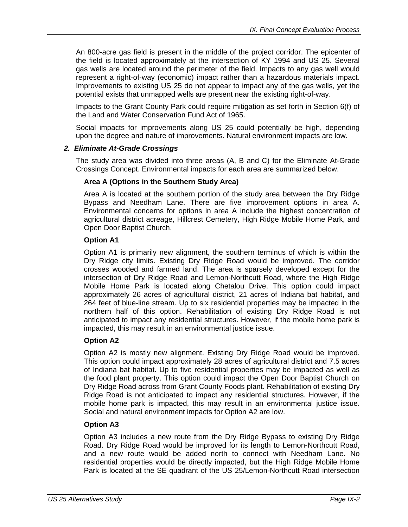An 800-acre gas field is present in the middle of the project corridor. The epicenter of the field is located approximately at the intersection of KY 1994 and US 25. Several gas wells are located around the perimeter of the field. Impacts to any gas well would represent a right-of-way (economic) impact rather than a hazardous materials impact. Improvements to existing US 25 do not appear to impact any of the gas wells, yet the potential exists that unmapped wells are present near the existing right-of-way.

Impacts to the Grant County Park could require mitigation as set forth in Section 6(f) of the Land and Water Conservation Fund Act of 1965.

Social impacts for improvements along US 25 could potentially be high, depending upon the degree and nature of improvements. Natural environment impacts are low.

#### *2. Eliminate At-Grade Crossings*

The study area was divided into three areas (A, B and C) for the Eliminate At-Grade Crossings Concept. Environmental impacts for each area are summarized below.

#### **Area A (Options in the Southern Study Area)**

Area A is located at the southern portion of the study area between the Dry Ridge Bypass and Needham Lane. There are five improvement options in area A. Environmental concerns for options in area A include the highest concentration of agricultural district acreage, Hillcrest Cemetery, High Ridge Mobile Home Park, and Open Door Baptist Church.

#### **Option A1**

Option A1 is primarily new alignment, the southern terminus of which is within the Dry Ridge city limits. Existing Dry Ridge Road would be improved. The corridor crosses wooded and farmed land. The area is sparsely developed except for the intersection of Dry Ridge Road and Lemon-Northcutt Road, where the High Ridge Mobile Home Park is located along Chetalou Drive. This option could impact approximately 26 acres of agricultural district, 21 acres of Indiana bat habitat, and 264 feet of blue-line stream. Up to six residential properties may be impacted in the northern half of this option. Rehabilitation of existing Dry Ridge Road is not anticipated to impact any residential structures. However, if the mobile home park is impacted, this may result in an environmental justice issue.

#### **Option A2**

Option A2 is mostly new alignment. Existing Dry Ridge Road would be improved. This option could impact approximately 28 acres of agricultural district and 7.5 acres of Indiana bat habitat. Up to five residential properties may be impacted as well as the food plant property. This option could impact the Open Door Baptist Church on Dry Ridge Road across from Grant County Foods plant. Rehabilitation of existing Dry Ridge Road is not anticipated to impact any residential structures. However, if the mobile home park is impacted, this may result in an environmental justice issue. Social and natural environment impacts for Option A2 are low.

#### **Option A3**

Option A3 includes a new route from the Dry Ridge Bypass to existing Dry Ridge Road. Dry Ridge Road would be improved for its length to Lemon-Northcutt Road, and a new route would be added north to connect with Needham Lane. No residential properties would be directly impacted, but the High Ridge Mobile Home Park is located at the SE quadrant of the US 25/Lemon-Northcutt Road intersection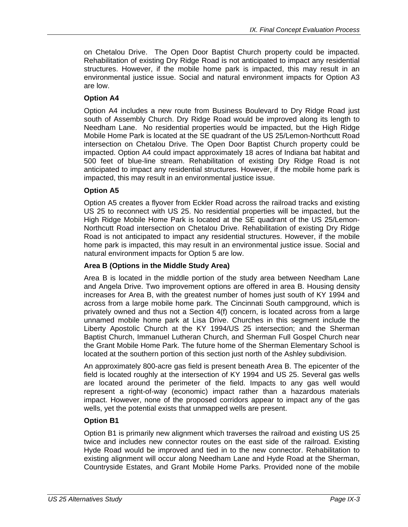on Chetalou Drive. The Open Door Baptist Church property could be impacted. Rehabilitation of existing Dry Ridge Road is not anticipated to impact any residential structures. However, if the mobile home park is impacted, this may result in an environmental justice issue. Social and natural environment impacts for Option A3 are low.

#### **Option A4**

Option A4 includes a new route from Business Boulevard to Dry Ridge Road just south of Assembly Church. Dry Ridge Road would be improved along its length to Needham Lane. No residential properties would be impacted, but the High Ridge Mobile Home Park is located at the SE quadrant of the US 25/Lemon-Northcutt Road intersection on Chetalou Drive. The Open Door Baptist Church property could be impacted. Option A4 could impact approximately 18 acres of Indiana bat habitat and 500 feet of blue-line stream. Rehabilitation of existing Dry Ridge Road is not anticipated to impact any residential structures. However, if the mobile home park is impacted, this may result in an environmental justice issue.

#### **Option A5**

Option A5 creates a flyover from Eckler Road across the railroad tracks and existing US 25 to reconnect with US 25. No residential properties will be impacted, but the High Ridge Mobile Home Park is located at the SE quadrant of the US 25/Lemon-Northcutt Road intersection on Chetalou Drive. Rehabilitation of existing Dry Ridge Road is not anticipated to impact any residential structures. However, if the mobile home park is impacted, this may result in an environmental justice issue. Social and natural environment impacts for Option 5 are low.

#### **Area B (Options in the Middle Study Area)**

Area B is located in the middle portion of the study area between Needham Lane and Angela Drive. Two improvement options are offered in area B. Housing density increases for Area B, with the greatest number of homes just south of KY 1994 and across from a large mobile home park. The Cincinnati South campground, which is privately owned and thus not a Section 4(f) concern, is located across from a large unnamed mobile home park at Lisa Drive. Churches in this segment include the Liberty Apostolic Church at the KY 1994/US 25 intersection; and the Sherman Baptist Church, Immanuel Lutheran Church, and Sherman Full Gospel Church near the Grant Mobile Home Park. The future home of the Sherman Elementary School is located at the southern portion of this section just north of the Ashley subdivision.

An approximately 800-acre gas field is present beneath Area B. The epicenter of the field is located roughly at the intersection of KY 1994 and US 25. Several gas wells are located around the perimeter of the field. Impacts to any gas well would represent a right-of-way (economic) impact rather than a hazardous materials impact. However, none of the proposed corridors appear to impact any of the gas wells, yet the potential exists that unmapped wells are present.

#### **Option B1**

Option B1 is primarily new alignment which traverses the railroad and existing US 25 twice and includes new connector routes on the east side of the railroad. Existing Hyde Road would be improved and tied in to the new connector. Rehabilitation to existing alignment will occur along Needham Lane and Hyde Road at the Sherman, Countryside Estates, and Grant Mobile Home Parks. Provided none of the mobile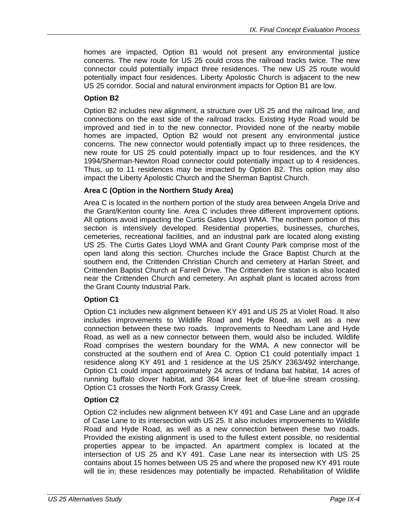homes are impacted, Option B1 would not present any environmental justice concerns. The new route for US 25 could cross the railroad tracks twice. The new connector could potentially impact three residences. The new US 25 route would potentially impact four residences. Liberty Apolostic Church is adjacent to the new US 25 corridor. Social and natural environment impacts for Option B1 are low.

#### **Option B2**

Option B2 includes new alignment, a structure over US 25 and the railroad line, and connections on the east side of the railroad tracks. Existing Hyde Road would be improved and tied in to the new connector. Provided none of the nearby mobile homes are impacted, Option B2 would not present any environmental justice concerns. The new connector would potentially impact up to three residences, the new route for US 25 could potentially impact up to four residences, and the KY 1994/Sherman-Newton Road connector could potentially impact up to 4 residences. Thus, up to 11 residences may be impacted by Option B2. This option may also impact the Liberty Apolostic Church and the Sherman Baptist Church.

#### **Area C (Option in the Northern Study Area)**

Area C is located in the northern portion of the study area between Angela Drive and the Grant/Kenton county line. Area C includes three different improvement options. All options avoid impacting the Curtis Gates Lloyd WMA. The northern portion of this section is intensively developed. Residential properties, businesses, churches, cemeteries, recreational facilities, and an industrial park are located along existing US 25. The Curtis Gates Lloyd WMA and Grant County Park comprise most of the open land along this section. Churches include the Grace Baptist Church at the southern end, the Crittenden Christian Church and cemetery at Harlan Street, and Crittenden Baptist Church at Farrell Drive. The Crittenden fire station is also located near the Crittenden Church and cemetery. An asphalt plant is located across from the Grant County Industrial Park.

#### **Option C1**

Option C1 includes new alignment between KY 491 and US 25 at Violet Road. It also includes improvements to Wildlife Road and Hyde Road, as well as a new connection between these two roads. Improvements to Needham Lane and Hyde Road, as well as a new connector between them, would also be included. Wildlife Road comprises the western boundary for the WMA. A new connector will be constructed at the southern end of Area C. Option C1 could potentially impact 1 residence along KY 491 and 1 residence at the US 25/KY 2363/492 interchange. Option C1 could impact approximately 24 acres of Indiana bat habitat, 14 acres of running buffalo clover habitat, and 364 linear feet of blue-line stream crossing. Option C1 crosses the North Fork Grassy Creek.

#### **Option C2**

Option C2 includes new alignment between KY 491 and Case Lane and an upgrade of Case Lane to its intersection with US 25. It also includes improvements to Wildlife Road and Hyde Road, as well as a new connection between these two roads. Provided the existing alignment is used to the fullest extent possible, no residential properties appear to be impacted. An apartment complex is located at the intersection of US 25 and KY 491. Case Lane near its intersection with US 25 contains about 15 homes between US 25 and where the proposed new KY 491 route will tie in; these residences may potentially be impacted. Rehabilitation of Wildlife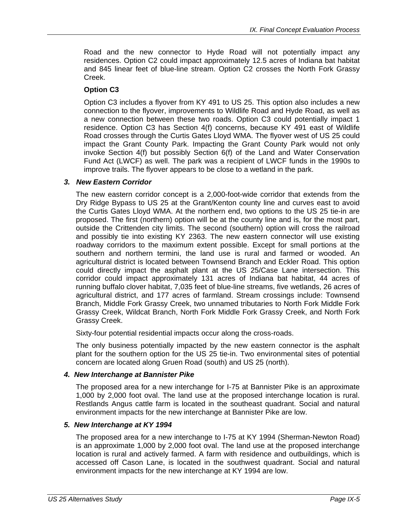Road and the new connector to Hyde Road will not potentially impact any residences. Option C2 could impact approximately 12.5 acres of Indiana bat habitat and 845 linear feet of blue-line stream. Option C2 crosses the North Fork Grassy Creek.

#### **Option C3**

Option C3 includes a flyover from KY 491 to US 25. This option also includes a new connection to the flyover, improvements to Wildlife Road and Hyde Road, as well as a new connection between these two roads. Option C3 could potentially impact 1 residence. Option C3 has Section 4(f) concerns, because KY 491 east of Wildlife Road crosses through the Curtis Gates Lloyd WMA. The flyover west of US 25 could impact the Grant County Park. Impacting the Grant County Park would not only invoke Section 4(f) but possibly Section 6(f) of the Land and Water Conservation Fund Act (LWCF) as well. The park was a recipient of LWCF funds in the 1990s to improve trails. The flyover appears to be close to a wetland in the park.

#### *3. New Eastern Corridor*

The new eastern corridor concept is a 2,000-foot-wide corridor that extends from the Dry Ridge Bypass to US 25 at the Grant/Kenton county line and curves east to avoid the Curtis Gates Lloyd WMA. At the northern end, two options to the US 25 tie-in are proposed. The first (northern) option will be at the county line and is, for the most part, outside the Crittenden city limits. The second (southern) option will cross the railroad and possibly tie into existing KY 2363. The new eastern connector will use existing roadway corridors to the maximum extent possible. Except for small portions at the southern and northern termini, the land use is rural and farmed or wooded. An agricultural district is located between Townsend Branch and Eckler Road. This option could directly impact the asphalt plant at the US 25/Case Lane intersection. This corridor could impact approximately 131 acres of Indiana bat habitat, 44 acres of running buffalo clover habitat, 7,035 feet of blue-line streams, five wetlands, 26 acres of agricultural district, and 177 acres of farmland. Stream crossings include: Townsend Branch, Middle Fork Grassy Creek, two unnamed tributaries to North Fork Middle Fork Grassy Creek, Wildcat Branch, North Fork Middle Fork Grassy Creek, and North Fork Grassy Creek.

Sixty-four potential residential impacts occur along the cross-roads.

The only business potentially impacted by the new eastern connector is the asphalt plant for the southern option for the US 25 tie-in. Two environmental sites of potential concern are located along Gruen Road (south) and US 25 (north).

#### *4. New Interchange at Bannister Pike*

The proposed area for a new interchange for I-75 at Bannister Pike is an approximate 1,000 by 2,000 foot oval. The land use at the proposed interchange location is rural. Restlands Angus cattle farm is located in the southeast quadrant. Social and natural environment impacts for the new interchange at Bannister Pike are low.

#### *5. New Interchange at KY 1994*

The proposed area for a new interchange to I-75 at KY 1994 (Sherman-Newton Road) is an approximate 1,000 by 2,000 foot oval. The land use at the proposed interchange location is rural and actively farmed. A farm with residence and outbuildings, which is accessed off Cason Lane, is located in the southwest quadrant. Social and natural environment impacts for the new interchange at KY 1994 are low.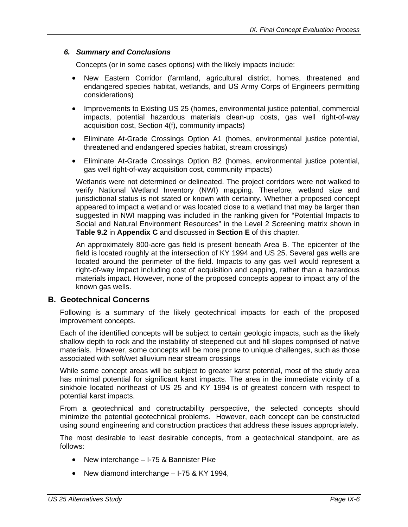#### *6. Summary and Conclusions*

Concepts (or in some cases options) with the likely impacts include:

- New Eastern Corridor (farmland, agricultural district, homes, threatened and endangered species habitat, wetlands, and US Army Corps of Engineers permitting considerations)
- Improvements to Existing US 25 (homes, environmental justice potential, commercial impacts, potential hazardous materials clean-up costs, gas well right-of-way acquisition cost, Section 4(f), community impacts)
- Eliminate At-Grade Crossings Option A1 (homes, environmental justice potential, threatened and endangered species habitat, stream crossings)
- Eliminate At-Grade Crossings Option B2 (homes, environmental justice potential, gas well right-of-way acquisition cost, community impacts)

Wetlands were not determined or delineated. The project corridors were not walked to verify National Wetland Inventory (NWI) mapping. Therefore, wetland size and jurisdictional status is not stated or known with certainty. Whether a proposed concept appeared to impact a wetland or was located close to a wetland that may be larger than suggested in NWI mapping was included in the ranking given for "Potential Impacts to Social and Natural Environment Resources" in the Level 2 Screening matrix shown in **Table 9.2** in **Appendix C** and discussed in **Section E** of this chapter.

An approximately 800-acre gas field is present beneath Area B. The epicenter of the field is located roughly at the intersection of KY 1994 and US 25. Several gas wells are located around the perimeter of the field. Impacts to any gas well would represent a right-of-way impact including cost of acquisition and capping, rather than a hazardous materials impact. However, none of the proposed concepts appear to impact any of the known gas wells.

#### **B. Geotechnical Concerns**

Following is a summary of the likely geotechnical impacts for each of the proposed improvement concepts.

Each of the identified concepts will be subject to certain geologic impacts, such as the likely shallow depth to rock and the instability of steepened cut and fill slopes comprised of native materials. However, some concepts will be more prone to unique challenges, such as those associated with soft/wet alluvium near stream crossings

While some concept areas will be subject to greater karst potential, most of the study area has minimal potential for significant karst impacts. The area in the immediate vicinity of a sinkhole located northeast of US 25 and KY 1994 is of greatest concern with respect to potential karst impacts.

From a geotechnical and constructability perspective, the selected concepts should minimize the potential geotechnical problems. However, each concept can be constructed using sound engineering and construction practices that address these issues appropriately.

The most desirable to least desirable concepts, from a geotechnical standpoint, are as follows:

- New interchange I-75 & Bannister Pike
- New diamond interchange I-75 & KY 1994,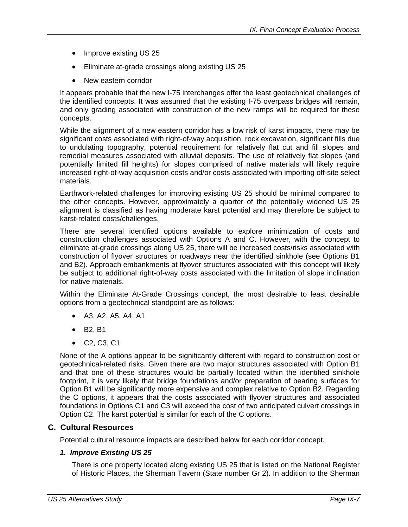- Improve existing US 25
- Eliminate at-grade crossings along existing US 25
- New eastern corridor

It appears probable that the new I-75 interchanges offer the least geotechnical challenges of the identified concepts. It was assumed that the existing I-75 overpass bridges will remain, and only grading associated with construction of the new ramps will be required for these concepts.

While the alignment of a new eastern corridor has a low risk of karst impacts, there may be significant costs associated with right-of-way acquisition, rock excavation, significant fills due to undulating topography, potential requirement for relatively flat cut and fill slopes and remedial measures associated with alluvial deposits. The use of relatively flat slopes (and potentially limited fill heights) for slopes comprised of native materials will likely require increased right-of-way acquisition costs and/or costs associated with importing off-site select materials.

Earthwork-related challenges for improving existing US 25 should be minimal compared to the other concepts. However, approximately a quarter of the potentially widened US 25 alignment is classified as having moderate karst potential and may therefore be subject to karst-related costs/challenges.

There are several identified options available to explore minimization of costs and construction challenges associated with Options A and C. However, with the concept to eliminate at-grade crossings along US 25, there will be increased costs/risks associated with construction of flyover structures or roadways near the identified sinkhole (see Options B1 and B2). Approach embankments at flyover structures associated with this concept will likely be subject to additional right-of-way costs associated with the limitation of slope inclination for native materials.

Within the Eliminate At-Grade Crossings concept, the most desirable to least desirable options from a geotechnical standpoint are as follows:

- A3, A2, A5, A4, A1
- B2, B1
- C2, C3, C1

None of the A options appear to be significantly different with regard to construction cost or geotechnical-related risks. Given there are two major structures associated with Option B1 and that one of these structures would be partially located within the identified sinkhole footprint, it is very likely that bridge foundations and/or preparation of bearing surfaces for Option B1 will be significantly more expensive and complex relative to Option B2. Regarding the C options, it appears that the costs associated with flyover structures and associated foundations in Options C1 and C3 will exceed the cost of two anticipated culvert crossings in Option C2. The karst potential is similar for each of the C options.

#### **C. Cultural Resources**

Potential cultural resource impacts are described below for each corridor concept.

#### *1. Improve Existing US 25*

There is one property located along existing US 25 that is listed on the National Register of Historic Places, the Sherman Tavern (State number Gr 2). In addition to the Sherman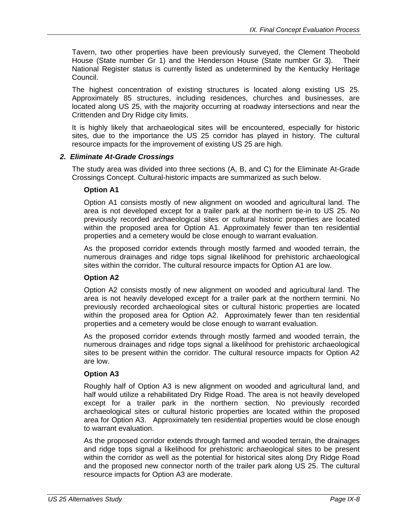Tavern, two other properties have been previously surveyed, the Clement Theobold House (State number Gr 1) and the Henderson House (State number Gr 3). Their National Register status is currently listed as undetermined by the Kentucky Heritage Council.

The highest concentration of existing structures is located along existing US 25. Approximately 85 structures, including residences, churches and businesses, are located along US 25, with the majority occurring at roadway intersections and near the Crittenden and Dry Ridge city limits.

It is highly likely that archaeological sites will be encountered, especially for historic sites, due to the importance the US 25 corridor has played in history. The cultural resource impacts for the improvement of existing US 25 are high.

#### *2. Eliminate At-Grade Crossings*

The study area was divided into three sections (A, B, and C) for the Eliminate At-Grade Crossings Concept. Cultural-historic impacts are summarized as such below.

#### **Option A1**

Option A1 consists mostly of new alignment on wooded and agricultural land. The area is not developed except for a trailer park at the northern tie-in to US 25. No previously recorded archaeological sites or cultural historic properties are located within the proposed area for Option A1. Approximately fewer than ten residential properties and a cemetery would be close enough to warrant evaluation.

As the proposed corridor extends through mostly farmed and wooded terrain, the numerous drainages and ridge tops signal likelihood for prehistoric archaeological sites within the corridor. The cultural resource impacts for Option A1 are low.

#### **Option A2**

Option A2 consists mostly of new alignment on wooded and agricultural land. The area is not heavily developed except for a trailer park at the northern termini. No previously recorded archaeological sites or cultural historic properties are located within the proposed area for Option A2. Approximately fewer than ten residential properties and a cemetery would be close enough to warrant evaluation.

As the proposed corridor extends through mostly farmed and wooded terrain, the numerous drainages and ridge tops signal a likelihood for prehistoric archaeological sites to be present within the corridor. The cultural resource impacts for Option A2 are low.

#### **Option A3**

Roughly half of Option A3 is new alignment on wooded and agricultural land, and half would utilize a rehabilitated Dry Ridge Road. The area is not heavily developed except for a trailer park in the northern section. No previously recorded archaeological sites or cultural historic properties are located within the proposed area for Option A3. Approximately ten residential properties would be close enough to warrant evaluation.

As the proposed corridor extends through farmed and wooded terrain, the drainages and ridge tops signal a likelihood for prehistoric archaeological sites to be present within the corridor as well as the potential for historical sites along Dry Ridge Road and the proposed new connector north of the trailer park along US 25. The cultural resource impacts for Option A3 are moderate.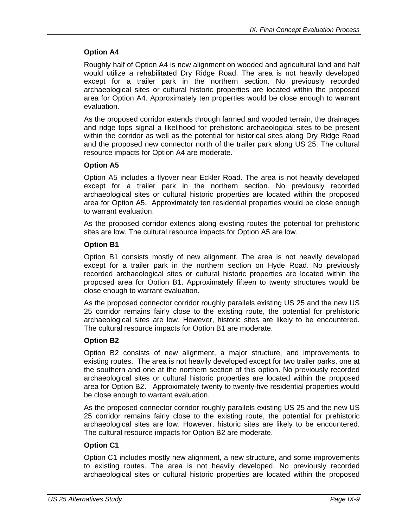#### **Option A4**

Roughly half of Option A4 is new alignment on wooded and agricultural land and half would utilize a rehabilitated Dry Ridge Road. The area is not heavily developed except for a trailer park in the northern section. No previously recorded archaeological sites or cultural historic properties are located within the proposed area for Option A4. Approximately ten properties would be close enough to warrant evaluation.

As the proposed corridor extends through farmed and wooded terrain, the drainages and ridge tops signal a likelihood for prehistoric archaeological sites to be present within the corridor as well as the potential for historical sites along Dry Ridge Road and the proposed new connector north of the trailer park along US 25. The cultural resource impacts for Option A4 are moderate.

#### **Option A5**

Option A5 includes a flyover near Eckler Road. The area is not heavily developed except for a trailer park in the northern section. No previously recorded archaeological sites or cultural historic properties are located within the proposed area for Option A5. Approximately ten residential properties would be close enough to warrant evaluation.

As the proposed corridor extends along existing routes the potential for prehistoric sites are low. The cultural resource impacts for Option A5 are low.

#### **Option B1**

Option B1 consists mostly of new alignment. The area is not heavily developed except for a trailer park in the northern section on Hyde Road. No previously recorded archaeological sites or cultural historic properties are located within the proposed area for Option B1. Approximately fifteen to twenty structures would be close enough to warrant evaluation.

As the proposed connector corridor roughly parallels existing US 25 and the new US 25 corridor remains fairly close to the existing route, the potential for prehistoric archaeological sites are low. However, historic sites are likely to be encountered. The cultural resource impacts for Option B1 are moderate.

#### **Option B2**

Option B2 consists of new alignment, a major structure, and improvements to existing routes. The area is not heavily developed except for two trailer parks, one at the southern and one at the northern section of this option. No previously recorded archaeological sites or cultural historic properties are located within the proposed area for Option B2. Approximately twenty to twenty-five residential properties would be close enough to warrant evaluation.

As the proposed connector corridor roughly parallels existing US 25 and the new US 25 corridor remains fairly close to the existing route, the potential for prehistoric archaeological sites are low. However, historic sites are likely to be encountered. The cultural resource impacts for Option B2 are moderate.

#### **Option C1**

Option C1 includes mostly new alignment, a new structure, and some improvements to existing routes. The area is not heavily developed. No previously recorded archaeological sites or cultural historic properties are located within the proposed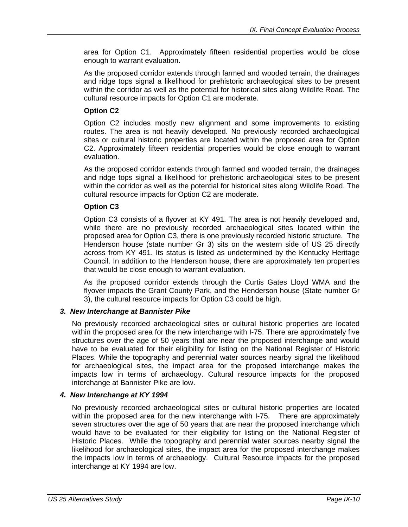area for Option C1. Approximately fifteen residential properties would be close enough to warrant evaluation.

As the proposed corridor extends through farmed and wooded terrain, the drainages and ridge tops signal a likelihood for prehistoric archaeological sites to be present within the corridor as well as the potential for historical sites along Wildlife Road. The cultural resource impacts for Option C1 are moderate.

#### **Option C2**

Option C2 includes mostly new alignment and some improvements to existing routes. The area is not heavily developed. No previously recorded archaeological sites or cultural historic properties are located within the proposed area for Option C2. Approximately fifteen residential properties would be close enough to warrant evaluation.

As the proposed corridor extends through farmed and wooded terrain, the drainages and ridge tops signal a likelihood for prehistoric archaeological sites to be present within the corridor as well as the potential for historical sites along Wildlife Road. The cultural resource impacts for Option C2 are moderate.

#### **Option C3**

Option C3 consists of a flyover at KY 491. The area is not heavily developed and, while there are no previously recorded archaeological sites located within the proposed area for Option C3, there is one previously recorded historic structure. The Henderson house (state number Gr 3) sits on the western side of US 25 directly across from KY 491. Its status is listed as undetermined by the Kentucky Heritage Council. In addition to the Henderson house, there are approximately ten properties that would be close enough to warrant evaluation.

As the proposed corridor extends through the Curtis Gates Lloyd WMA and the flyover impacts the Grant County Park, and the Henderson house (State number Gr 3), the cultural resource impacts for Option C3 could be high.

#### *3. New Interchange at Bannister Pike*

No previously recorded archaeological sites or cultural historic properties are located within the proposed area for the new interchange with I-75. There are approximately five structures over the age of 50 years that are near the proposed interchange and would have to be evaluated for their eligibility for listing on the National Register of Historic Places. While the topography and perennial water sources nearby signal the likelihood for archaeological sites, the impact area for the proposed interchange makes the impacts low in terms of archaeology. Cultural resource impacts for the proposed interchange at Bannister Pike are low.

#### *4. New Interchange at KY 1994*

No previously recorded archaeological sites or cultural historic properties are located within the proposed area for the new interchange with I-75. There are approximately seven structures over the age of 50 years that are near the proposed interchange which would have to be evaluated for their eligibility for listing on the National Register of Historic Places. While the topography and perennial water sources nearby signal the likelihood for archaeological sites, the impact area for the proposed interchange makes the impacts low in terms of archaeology. Cultural Resource impacts for the proposed interchange at KY 1994 are low.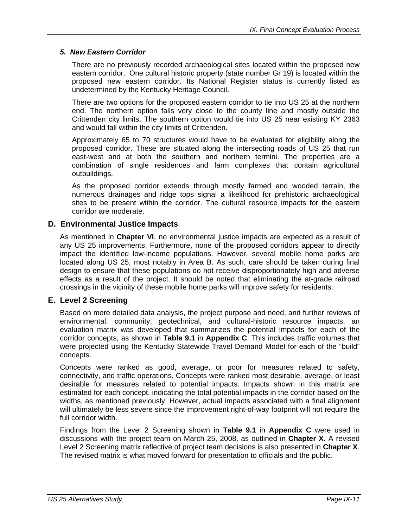#### *5. New Eastern Corridor*

There are no previously recorded archaeological sites located within the proposed new eastern corridor. One cultural historic property (state number Gr 19) is located within the proposed new eastern corridor. Its National Register status is currently listed as undetermined by the Kentucky Heritage Council.

There are two options for the proposed eastern corridor to tie into US 25 at the northern end. The northern option falls very close to the county line and mostly outside the Crittenden city limits. The southern option would tie into US 25 near existing KY 2363 and would fall within the city limits of Crittenden.

Approximately 65 to 70 structures would have to be evaluated for eligibility along the proposed corridor. These are situated along the intersecting roads of US 25 that run east-west and at both the southern and northern termini. The properties are a combination of single residences and farm complexes that contain agricultural outbuildings.

As the proposed corridor extends through mostly farmed and wooded terrain, the numerous drainages and ridge tops signal a likelihood for prehistoric archaeological sites to be present within the corridor. The cultural resource impacts for the eastern corridor are moderate.

#### **D. Environmental Justice Impacts**

As mentioned in **Chapter VI**, no environmental justice impacts are expected as a result of any US 25 improvements. Furthermore, none of the proposed corridors appear to directly impact the identified low-income populations. However, several mobile home parks are located along US 25, most notably in Area B. As such, care should be taken during final design to ensure that these populations do not receive disproportionately high and adverse effects as a result of the project. It should be noted that eliminating the at-grade railroad crossings in the vicinity of these mobile home parks will improve safety for residents.

#### **E. Level 2 Screening**

Based on more detailed data analysis, the project purpose and need, and further reviews of environmental, community, geotechnical, and cultural-historic resource impacts, an evaluation matrix was developed that summarizes the potential impacts for each of the corridor concepts, as shown in **Table 9.1** in **Appendix C**. This includes traffic volumes that were projected using the Kentucky Statewide Travel Demand Model for each of the "build" concepts.

Concepts were ranked as good, average, or poor for measures related to safety, connectivity, and traffic operations. Concepts were ranked most desirable, average, or least desirable for measures related to potential impacts. Impacts shown in this matrix are estimated for each concept, indicating the total potential impacts in the corridor based on the widths, as mentioned previously. However, actual impacts associated with a final alignment will ultimately be less severe since the improvement right-of-way footprint will not require the full corridor width.

Findings from the Level 2 Screening shown in **Table 9.1** in **Appendix C** were used in discussions with the project team on March 25, 2008, as outlined in **Chapter X**. A revised Level 2 Screening matrix reflective of project team decisions is also presented in **Chapter X**. The revised matrix is what moved forward for presentation to officials and the public.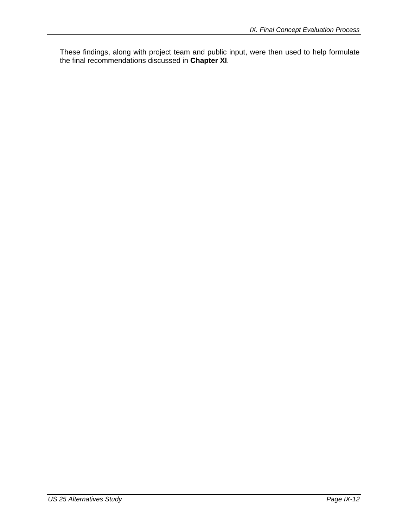These findings, along with project team and public input, were then used to help formulate the final recommendations discussed in **Chapter XI**.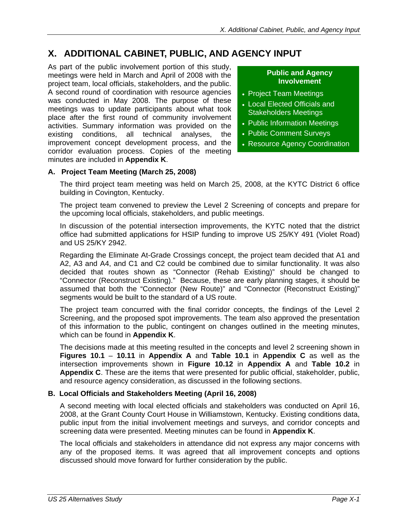## **X. ADDITIONAL CABINET, PUBLIC, AND AGENCY INPUT**

As part of the public involvement portion of this study, meetings were held in March and April of 2008 with the project team, local officials, stakeholders, and the public. A second round of coordination with resource agencies was conducted in May 2008. The purpose of these meetings was to update participants about what took place after the first round of community involvement activities. Summary information was provided on the existing conditions, all technical analyses, the improvement concept development process, and the corridor evaluation process. Copies of the meeting minutes are included in **Appendix K**.

#### **Public and Agency Involvement**

- Project Team Meetings
- Local Elected Officials and Stakeholders Meetings
- Public Information Meetings
- Public Comment Surveys
- Resource Agency Coordination

#### **A. Project Team Meeting (March 25, 2008)**

The third project team meeting was held on March 25, 2008, at the KYTC District 6 office building in Covington, Kentucky.

The project team convened to preview the Level 2 Screening of concepts and prepare for the upcoming local officials, stakeholders, and public meetings.

In discussion of the potential intersection improvements, the KYTC noted that the district office had submitted applications for HSIP funding to improve US 25/KY 491 (Violet Road) and US 25/KY 2942.

Regarding the Eliminate At-Grade Crossings concept, the project team decided that A1 and A2, A3 and A4, and C1 and C2 could be combined due to similar functionality. It was also decided that routes shown as "Connector (Rehab Existing)" should be changed to "Connector (Reconstruct Existing)." Because, these are early planning stages, it should be assumed that both the "Connector (New Route)" and "Connector (Reconstruct Existing)" segments would be built to the standard of a US route.

The project team concurred with the final corridor concepts, the findings of the Level 2 Screening, and the proposed spot improvements. The team also approved the presentation of this information to the public, contingent on changes outlined in the meeting minutes, which can be found in **Appendix K**.

The decisions made at this meeting resulted in the concepts and level 2 screening shown in **Figures 10.1** – **10.11** in **Appendix A** and **Table 10.1** in **Appendix C** as well as the intersection improvements shown in **Figure 10.12** in **Appendix A** and **Table 10.2** in **Appendix C**. These are the items that were presented for public official, stakeholder, public, and resource agency consideration, as discussed in the following sections.

#### **B. Local Officials and Stakeholders Meeting (April 16, 2008)**

A second meeting with local elected officials and stakeholders was conducted on April 16, 2008, at the Grant County Court House in Williamstown, Kentucky. Existing conditions data, public input from the initial involvement meetings and surveys, and corridor concepts and screening data were presented. Meeting minutes can be found in **Appendix K**.

The local officials and stakeholders in attendance did not express any major concerns with any of the proposed items. It was agreed that all improvement concepts and options discussed should move forward for further consideration by the public.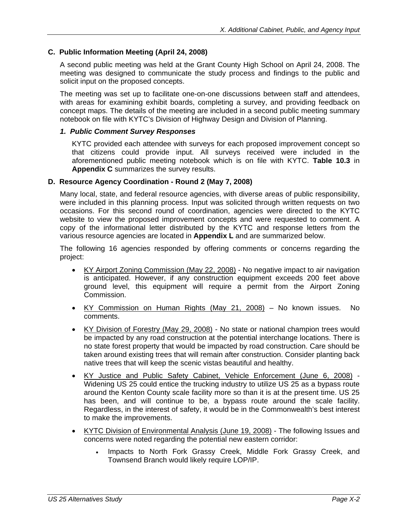#### **C. Public Information Meeting (April 24, 2008)**

A second public meeting was held at the Grant County High School on April 24, 2008. The meeting was designed to communicate the study process and findings to the public and solicit input on the proposed concepts.

The meeting was set up to facilitate one-on-one discussions between staff and attendees, with areas for examining exhibit boards, completing a survey, and providing feedback on concept maps. The details of the meeting are included in a second public meeting summary notebook on file with KYTC's Division of Highway Design and Division of Planning.

#### *1. Public Comment Survey Responses*

KYTC provided each attendee with surveys for each proposed improvement concept so that citizens could provide input. All surveys received were included in the aforementioned public meeting notebook which is on file with KYTC. **Table 10.3** in **Appendix C** summarizes the survey results.

#### **D. Resource Agency Coordination - Round 2 (May 7, 2008)**

Many local, state, and federal resource agencies, with diverse areas of public responsibility, were included in this planning process. Input was solicited through written requests on two occasions. For this second round of coordination, agencies were directed to the KYTC website to view the proposed improvement concepts and were requested to comment. A copy of the informational letter distributed by the KYTC and response letters from the various resource agencies are located in **Appendix L** and are summarized below.

The following 16 agencies responded by offering comments or concerns regarding the project:

- KY Airport Zoning Commission (May 22, 2008) No negative impact to air navigation is anticipated. However, if any construction equipment exceeds 200 feet above ground level, this equipment will require a permit from the Airport Zoning Commission.
- KY Commission on Human Rights (May 21, 2008) No known issues. No comments.
- KY Division of Forestry (May 29, 2008) No state or national champion trees would be impacted by any road construction at the potential interchange locations. There is no state forest property that would be impacted by road construction. Care should be taken around existing trees that will remain after construction. Consider planting back native trees that will keep the scenic vistas beautiful and healthy.
- KY Justice and Public Safety Cabinet, Vehicle Enforcement (June 6, 2008) Widening US 25 could entice the trucking industry to utilize US 25 as a bypass route around the Kenton County scale facility more so than it is at the present time. US 25 has been, and will continue to be, a bypass route around the scale facility. Regardless, in the interest of safety, it would be in the Commonwealth's best interest to make the improvements.
- KYTC Division of Environmental Analysis (June 19, 2008) The following Issues and concerns were noted regarding the potential new eastern corridor:
	- Impacts to North Fork Grassy Creek, Middle Fork Grassy Creek, and Townsend Branch would likely require LOP/IP.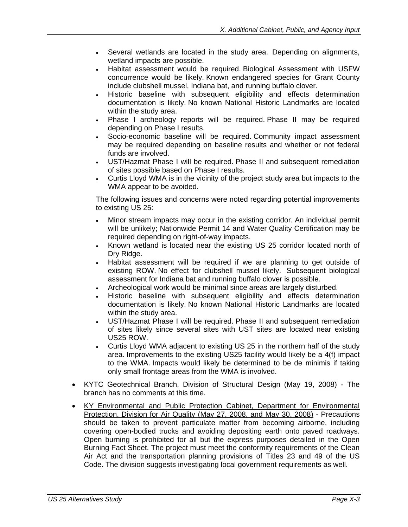- Several wetlands are located in the study area. Depending on alignments, wetland impacts are possible.
- Habitat assessment would be required. Biological Assessment with USFW concurrence would be likely. Known endangered species for Grant County include clubshell mussel, Indiana bat, and running buffalo clover.
- Historic baseline with subsequent eligibility and effects determination documentation is likely. No known National Historic Landmarks are located within the study area.
- Phase I archeology reports will be required. Phase II may be required depending on Phase I results.
- Socio-economic baseline will be required. Community impact assessment may be required depending on baseline results and whether or not federal funds are involved.
- UST/Hazmat Phase I will be required. Phase II and subsequent remediation of sites possible based on Phase I results.
- Curtis Lloyd WMA is in the vicinity of the project study area but impacts to the WMA appear to be avoided.

The following issues and concerns were noted regarding potential improvements to existing US 25:

- Minor stream impacts may occur in the existing corridor. An individual permit will be unlikely; Nationwide Permit 14 and Water Quality Certification may be required depending on right-of-way impacts.
- Known wetland is located near the existing US 25 corridor located north of Dry Ridge.
- Habitat assessment will be required if we are planning to get outside of existing ROW. No effect for clubshell mussel likely. Subsequent biological assessment for Indiana bat and running buffalo clover is possible.
- Archeological work would be minimal since areas are largely disturbed.
- Historic baseline with subsequent eligibility and effects determination documentation is likely. No known National Historic Landmarks are located within the study area.
- UST/Hazmat Phase I will be required. Phase II and subsequent remediation of sites likely since several sites with UST sites are located near existing US25 ROW.
- Curtis Lloyd WMA adjacent to existing US 25 in the northern half of the study area. Improvements to the existing US25 facility would likely be a 4(f) impact to the WMA. Impacts would likely be determined to be de minimis if taking only small frontage areas from the WMA is involved.
- KYTC Geotechnical Branch, Division of Structural Design (May 19, 2008) The branch has no comments at this time.
- KY Environmental and Public Protection Cabinet, Department for Environmental Protection, Division for Air Quality (May 27, 2008, and May 30, 2008) - Precautions should be taken to prevent particulate matter from becoming airborne, including covering open-bodied trucks and avoiding depositing earth onto paved roadways. Open burning is prohibited for all but the express purposes detailed in the Open Burning Fact Sheet. The project must meet the conformity requirements of the Clean Air Act and the transportation planning provisions of Titles 23 and 49 of the US Code. The division suggests investigating local government requirements as well.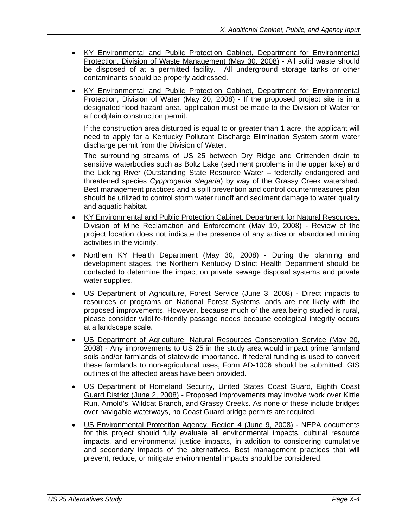- KY Environmental and Public Protection Cabinet, Department for Environmental Protection, Division of Waste Management (May 30, 2008) - All solid waste should be disposed of at a permitted facility. All underground storage tanks or other contaminants should be properly addressed.
- KY Environmental and Public Protection Cabinet, Department for Environmental Protection, Division of Water (May 20, 2008) - If the proposed project site is in a designated flood hazard area, application must be made to the Division of Water for a floodplain construction permit.

If the construction area disturbed is equal to or greater than 1 acre, the applicant will need to apply for a Kentucky Pollutant Discharge Elimination System storm water discharge permit from the Division of Water.

The surrounding streams of US 25 between Dry Ridge and Crittenden drain to sensitive waterbodies such as Boltz Lake (sediment problems in the upper lake) and the Licking River (Outstanding State Resource Water – federally endangered and threatened species *Cypprogenia stegaria*) by way of the Grassy Creek watershed. Best management practices and a spill prevention and control countermeasures plan should be utilized to control storm water runoff and sediment damage to water quality and aquatic habitat.

- KY Environmental and Public Protection Cabinet, Department for Natural Resources, Division of Mine Reclamation and Enforcement (May 19, 2008) - Review of the project location does not indicate the presence of any active or abandoned mining activities in the vicinity.
- Northern KY Health Department (May 30, 2008) During the planning and development stages, the Northern Kentucky District Health Department should be contacted to determine the impact on private sewage disposal systems and private water supplies.
- US Department of Agriculture, Forest Service (June 3, 2008) Direct impacts to resources or programs on National Forest Systems lands are not likely with the proposed improvements. However, because much of the area being studied is rural, please consider wildlife-friendly passage needs because ecological integrity occurs at a landscape scale.
- US Department of Agriculture, Natural Resources Conservation Service (May 20, 2008) - Any improvements to US 25 in the study area would impact prime farmland soils and/or farmlands of statewide importance. If federal funding is used to convert these farmlands to non-agricultural uses, Form AD-1006 should be submitted. GIS outlines of the affected areas have been provided.
- US Department of Homeland Security, United States Coast Guard, Eighth Coast Guard District (June 2, 2008) - Proposed improvements may involve work over Kittle Run, Arnold's, Wildcat Branch, and Grassy Creeks. As none of these include bridges over navigable waterways, no Coast Guard bridge permits are required.
- US Environmental Protection Agency, Region 4 (June 9, 2008) NEPA documents for this project should fully evaluate all environmental impacts, cultural resource impacts, and environmental justice impacts, in addition to considering cumulative and secondary impacts of the alternatives. Best management practices that will prevent, reduce, or mitigate environmental impacts should be considered.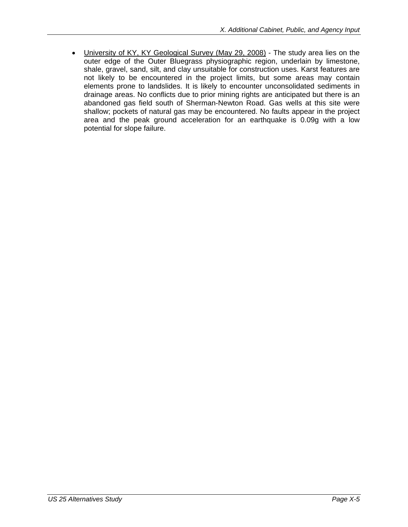• University of KY, KY Geological Survey (May 29, 2008) - The study area lies on the outer edge of the Outer Bluegrass physiographic region, underlain by limestone, shale, gravel, sand, silt, and clay unsuitable for construction uses. Karst features are not likely to be encountered in the project limits, but some areas may contain elements prone to landslides. It is likely to encounter unconsolidated sediments in drainage areas. No conflicts due to prior mining rights are anticipated but there is an abandoned gas field south of Sherman-Newton Road. Gas wells at this site were shallow; pockets of natural gas may be encountered. No faults appear in the project area and the peak ground acceleration for an earthquake is 0.09g with a low potential for slope failure.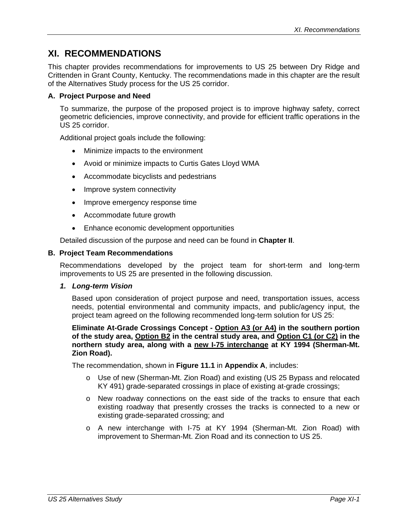### **XI. RECOMMENDATIONS**

This chapter provides recommendations for improvements to US 25 between Dry Ridge and Crittenden in Grant County, Kentucky. The recommendations made in this chapter are the result of the Alternatives Study process for the US 25 corridor.

#### **A. Project Purpose and Need**

To summarize, the purpose of the proposed project is to improve highway safety, correct geometric deficiencies, improve connectivity, and provide for efficient traffic operations in the US 25 corridor.

Additional project goals include the following:

- Minimize impacts to the environment
- Avoid or minimize impacts to Curtis Gates Lloyd WMA
- Accommodate bicyclists and pedestrians
- Improve system connectivity
- Improve emergency response time
- Accommodate future growth
- Enhance economic development opportunities

Detailed discussion of the purpose and need can be found in **Chapter II**.

#### **B. Project Team Recommendations**

Recommendations developed by the project team for short-term and long-term improvements to US 25 are presented in the following discussion.

#### *1. Long-term Vision*

Based upon consideration of project purpose and need, transportation issues, access needs, potential environmental and community impacts, and public/agency input, the project team agreed on the following recommended long-term solution for US 25:

#### **Eliminate At-Grade Crossings Concept - Option A3 (or A4) in the southern portion of the study area, Option B2 in the central study area, and Option C1 (or C2) in the northern study area, along with a new I-75 interchange at KY 1994 (Sherman-Mt. Zion Road).**

The recommendation, shown in **Figure 11.1** in **Appendix A**, includes:

- o Use of new (Sherman-Mt. Zion Road) and existing (US 25 Bypass and relocated KY 491) grade-separated crossings in place of existing at-grade crossings;
- o New roadway connections on the east side of the tracks to ensure that each existing roadway that presently crosses the tracks is connected to a new or existing grade-separated crossing; and
- o A new interchange with I-75 at KY 1994 (Sherman-Mt. Zion Road) with improvement to Sherman-Mt. Zion Road and its connection to US 25.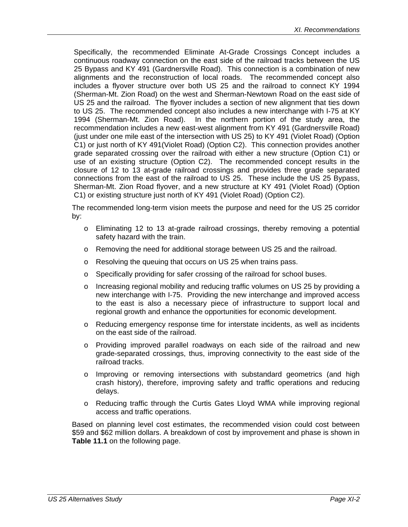Specifically, the recommended Eliminate At-Grade Crossings Concept includes a continuous roadway connection on the east side of the railroad tracks between the US 25 Bypass and KY 491 (Gardnersville Road). This connection is a combination of new alignments and the reconstruction of local roads. The recommended concept also includes a flyover structure over both US 25 and the railroad to connect KY 1994 (Sherman-Mt. Zion Road) on the west and Sherman-Newtown Road on the east side of US 25 and the railroad. The flyover includes a section of new alignment that ties down to US 25. The recommended concept also includes a new interchange with I-75 at KY 1994 (Sherman-Mt. Zion Road). In the northern portion of the study area, the recommendation includes a new east-west alignment from KY 491 (Gardnersville Road) (just under one mile east of the intersection with US 25) to KY 491 (Violet Road) (Option C1) or just north of KY 491(Violet Road) (Option C2). This connection provides another grade separated crossing over the railroad with either a new structure (Option C1) or use of an existing structure (Option C2). The recommended concept results in the closure of 12 to 13 at-grade railroad crossings and provides three grade separated connections from the east of the railroad to US 25. These include the US 25 Bypass, Sherman-Mt. Zion Road flyover, and a new structure at KY 491 (Violet Road) (Option C1) or existing structure just north of KY 491 (Violet Road) (Option C2).

The recommended long-term vision meets the purpose and need for the US 25 corridor by:

- o Eliminating 12 to 13 at-grade railroad crossings, thereby removing a potential safety hazard with the train.
- o Removing the need for additional storage between US 25 and the railroad.
- o Resolving the queuing that occurs on US 25 when trains pass.
- o Specifically providing for safer crossing of the railroad for school buses.
- $\circ$  Increasing regional mobility and reducing traffic volumes on US 25 by providing a new interchange with I-75. Providing the new interchange and improved access to the east is also a necessary piece of infrastructure to support local and regional growth and enhance the opportunities for economic development.
- o Reducing emergency response time for interstate incidents, as well as incidents on the east side of the railroad.
- o Providing improved parallel roadways on each side of the railroad and new grade-separated crossings, thus, improving connectivity to the east side of the railroad tracks.
- $\circ$  Improving or removing intersections with substandard geometrics (and high crash history), therefore, improving safety and traffic operations and reducing delays.
- o Reducing traffic through the Curtis Gates Lloyd WMA while improving regional access and traffic operations.

Based on planning level cost estimates, the recommended vision could cost between \$59 and \$62 million dollars. A breakdown of cost by improvement and phase is shown in **Table 11.1** on the following page.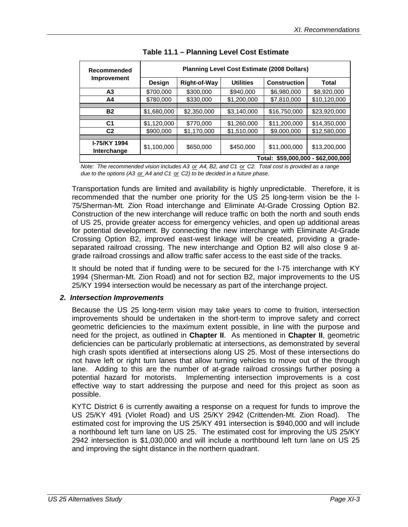| Recommended                        | <b>Planning Level Cost Estimate (2008 Dollars)</b> |                     |                  |                     |              |
|------------------------------------|----------------------------------------------------|---------------------|------------------|---------------------|--------------|
| <b>Improvement</b>                 | Design                                             | <b>Right-of-Way</b> | <b>Utilities</b> | <b>Construction</b> | <b>Total</b> |
| А3                                 | \$700,000                                          | \$300,000           | \$940,000        | \$6,980,000         | \$8,920,000  |
| A4                                 | \$780,000                                          | \$330,000           | \$1,200,000      | \$7,810,000         | \$10,120,000 |
|                                    |                                                    |                     |                  |                     |              |
| <b>B2</b>                          | \$1,680,000                                        | \$2,350,000         | \$3,140,000      | \$16,750,000        | \$23,920,000 |
|                                    |                                                    |                     |                  |                     |              |
| C <sub>1</sub>                     | \$1,120,000                                        | \$770,000           | \$1,260,000      | \$11,200,000        | \$14,350,000 |
| C <sub>2</sub>                     | \$900,000                                          | \$1,170,000         | \$1,510,000      | \$9,000,000         | \$12,580,000 |
|                                    |                                                    |                     |                  |                     |              |
| <b>I-75/KY 1994</b><br>Interchange | \$1,100,000                                        | \$650,000           | \$450,000        | \$11,000,000        | \$13,200,000 |
| Total: \$59,000,000 - \$62,000,000 |                                                    |                     |                  |                     |              |

*Note: The recommended vision includes A3 or A4, B2, and C1 or C2. Total cost is provided as a range due to the options (A3 or A4 and C1 or C2) to be decided in a future phase.*

Transportation funds are limited and availability is highly unpredictable. Therefore, it is recommended that the number one priority for the US 25 long-term vision be the I-75/Sherman-Mt. Zion Road interchange and Eliminate At-Grade Crossing Option B2. Construction of the new interchange will reduce traffic on both the north and south ends of US 25, provide greater access for emergency vehicles, and open up additional areas for potential development. By connecting the new interchange with Eliminate At-Grade Crossing Option B2, improved east-west linkage will be created, providing a gradeseparated railroad crossing. The new interchange and Option B2 will also close 9 atgrade railroad crossings and allow traffic safer access to the east side of the tracks.

It should be noted that if funding were to be secured for the I-75 interchange with KY 1994 (Sherman-Mt. Zion Road) and not for section B2, major improvements to the US 25/KY 1994 intersection would be necessary as part of the interchange project.

#### *2. Intersection Improvements*

Because the US 25 long-term vision may take years to come to fruition, intersection improvements should be undertaken in the short-term to improve safety and correct geometric deficiencies to the maximum extent possible, in line with the purpose and need for the project, as outlined in **Chapter II**. As mentioned in **Chapter II**, geometric deficiencies can be particularly problematic at intersections, as demonstrated by several high crash spots identified at intersections along US 25. Most of these intersections do not have left or right turn lanes that allow turning vehicles to move out of the through lane. Adding to this are the number of at-grade railroad crossings further posing a potential hazard for motorists. Implementing intersection improvements is a cost effective way to start addressing the purpose and need for this project as soon as possible.

KYTC District 6 is currently awaiting a response on a request for funds to improve the US 25/KY 491 (Violet Road) and US 25/KY 2942 (Crittenden-Mt. Zion Road). The estimated cost for improving the US 25/KY 491 intersection is \$940,000 and will include a northbound left turn lane on US 25. The estimated cost for improving the US 25/KY 2942 intersection is \$1,030,000 and will include a northbound left turn lane on US 25 and improving the sight distance in the northern quadrant.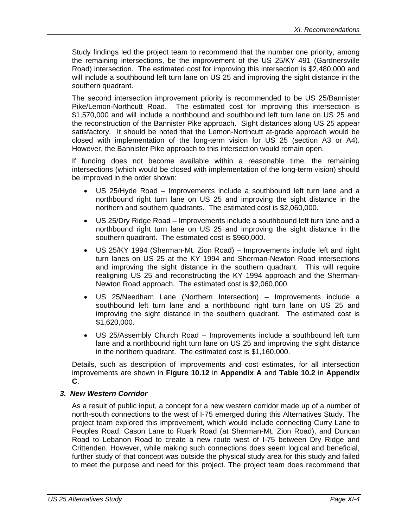Study findings led the project team to recommend that the number one priority, among the remaining intersections, be the improvement of the US 25/KY 491 (Gardnersville Road) intersection. The estimated cost for improving this intersection is \$2,480,000 and will include a southbound left turn lane on US 25 and improving the sight distance in the southern quadrant.

The second intersection improvement priority is recommended to be US 25/Bannister Pike/Lemon-Northcutt Road. The estimated cost for improving this intersection is \$1,570,000 and will include a northbound and southbound left turn lane on US 25 and the reconstruction of the Bannister Pike approach. Sight distances along US 25 appear satisfactory. It should be noted that the Lemon-Northcutt at-grade approach would be closed with implementation of the long-term vision for US 25 (section A3 or A4). However, the Bannister Pike approach to this intersection would remain open.

If funding does not become available within a reasonable time, the remaining intersections (which would be closed with implementation of the long-term vision) should be improved in the order shown:

- US 25/Hyde Road Improvements include a southbound left turn lane and a northbound right turn lane on US 25 and improving the sight distance in the northern and southern quadrants. The estimated cost is \$2,060,000.
- US 25/Dry Ridge Road Improvements include a southbound left turn lane and a northbound right turn lane on US 25 and improving the sight distance in the southern quadrant. The estimated cost is \$960,000.
- US 25/KY 1994 (Sherman-Mt. Zion Road) Improvements include left and right turn lanes on US 25 at the KY 1994 and Sherman-Newton Road intersections and improving the sight distance in the southern quadrant. This will require realigning US 25 and reconstructing the KY 1994 approach and the Sherman-Newton Road approach. The estimated cost is \$2,060,000.
- US 25/Needham Lane (Northern Intersection) Improvements include a southbound left turn lane and a northbound right turn lane on US 25 and improving the sight distance in the southern quadrant. The estimated cost is \$1,620,000.
- US 25/Assembly Church Road Improvements include a southbound left turn lane and a northbound right turn lane on US 25 and improving the sight distance in the northern quadrant. The estimated cost is \$1,160,000.

Details, such as description of improvements and cost estimates, for all intersection improvements are shown in **Figure 10.12** in **Appendix A** and **Table 10.2** in **Appendix C**.

#### *3. New Western Corridor*

As a result of public input, a concept for a new western corridor made up of a number of north-south connections to the west of I-75 emerged during this Alternatives Study. The project team explored this improvement, which would include connecting Curry Lane to Peoples Road, Cason Lane to Ruark Road (at Sherman-Mt. Zion Road), and Duncan Road to Lebanon Road to create a new route west of I-75 between Dry Ridge and Crittenden. However, while making such connections does seem logical and beneficial, further study of that concept was outside the physical study area for this study and failed to meet the purpose and need for this project. The project team does recommend that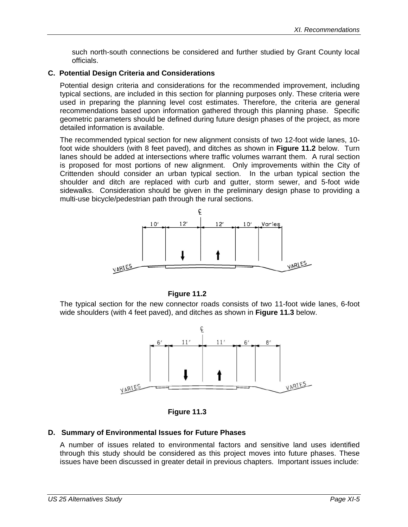such north-south connections be considered and further studied by Grant County local officials.

#### **C. Potential Design Criteria and Considerations**

Potential design criteria and considerations for the recommended improvement, including typical sections, are included in this section for planning purposes only. These criteria were used in preparing the planning level cost estimates. Therefore, the criteria are general recommendations based upon information gathered through this planning phase. Specific geometric parameters should be defined during future design phases of the project, as more detailed information is available.

The recommended typical section for new alignment consists of two 12-foot wide lanes, 10 foot wide shoulders (with 8 feet paved), and ditches as shown in **Figure 11.2** below. Turn lanes should be added at intersections where traffic volumes warrant them. A rural section is proposed for most portions of new alignment. Only improvements within the City of Crittenden should consider an urban typical section. In the urban typical section the shoulder and ditch are replaced with curb and gutter, storm sewer, and 5-foot wide sidewalks. Consideration should be given in the preliminary design phase to providing a multi-use bicycle/pedestrian path through the rural sections.





The typical section for the new connector roads consists of two 11-foot wide lanes, 6-foot wide shoulders (with 4 feet paved), and ditches as shown in **Figure 11.3** below.





#### **D. Summary of Environmental Issues for Future Phases**

A number of issues related to environmental factors and sensitive land uses identified through this study should be considered as this project moves into future phases. These issues have been discussed in greater detail in previous chapters. Important issues include: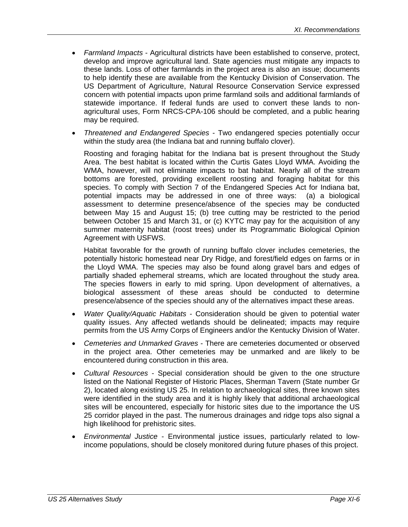- *Farmland Impacts* Agricultural districts have been established to conserve, protect, develop and improve agricultural land. State agencies must mitigate any impacts to these lands. Loss of other farmlands in the project area is also an issue; documents to help identify these are available from the Kentucky Division of Conservation. The US Department of Agriculture, Natural Resource Conservation Service expressed concern with potential impacts upon prime farmland soils and additional farmlands of statewide importance. If federal funds are used to convert these lands to nonagricultural uses, Form NRCS-CPA-106 should be completed, and a public hearing may be required.
- *Threatened and Endangered Species* Two endangered species potentially occur within the study area (the Indiana bat and running buffalo clover).

Roosting and foraging habitat for the Indiana bat is present throughout the Study Area. The best habitat is located within the Curtis Gates Lloyd WMA. Avoiding the WMA, however, will not eliminate impacts to bat habitat. Nearly all of the stream bottoms are forested, providing excellent roosting and foraging habitat for this species. To comply with Section 7 of the Endangered Species Act for Indiana bat, potential impacts may be addressed in one of three ways: (a) a biological assessment to determine presence/absence of the species may be conducted between May 15 and August 15; (b) tree cutting may be restricted to the period between October 15 and March 31, or (c) KYTC may pay for the acquisition of any summer maternity habitat (roost trees) under its Programmatic Biological Opinion Agreement with USFWS.

Habitat favorable for the growth of running buffalo clover includes cemeteries, the potentially historic homestead near Dry Ridge, and forest/field edges on farms or in the Lloyd WMA. The species may also be found along gravel bars and edges of partially shaded ephemeral streams, which are located throughout the study area. The species flowers in early to mid spring. Upon development of alternatives, a biological assessment of these areas should be conducted to determine presence/absence of the species should any of the alternatives impact these areas.

- *Water Quality/Aquatic Habitats*  Consideration should be given to potential water quality issues. Any affected wetlands should be delineated; impacts may require permits from the US Army Corps of Engineers and/or the Kentucky Division of Water.
- *Cemeteries and Unmarked Graves* There are cemeteries documented or observed in the project area. Other cemeteries may be unmarked and are likely to be encountered during construction in this area.
- *Cultural Resources*  Special consideration should be given to the one structure listed on the National Register of Historic Places, Sherman Tavern (State number Gr 2), located along existing US 25. In relation to archaeological sites, three known sites were identified in the study area and it is highly likely that additional archaeological sites will be encountered, especially for historic sites due to the importance the US 25 corridor played in the past. The numerous drainages and ridge tops also signal a high likelihood for prehistoric sites.
- *Environmental Justice* Environmental justice issues, particularly related to lowincome populations, should be closely monitored during future phases of this project.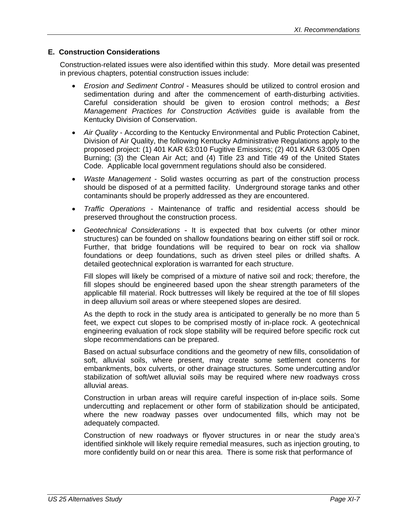#### **E. Construction Considerations**

Construction-related issues were also identified within this study. More detail was presented in previous chapters, potential construction issues include:

- *Erosion and Sediment Control* Measures should be utilized to control erosion and sedimentation during and after the commencement of earth-disturbing activities. Careful consideration should be given to erosion control methods; a *Best Management Practices for Construction Activities* guide is available from the Kentucky Division of Conservation.
- *Air Quality* According to the Kentucky Environmental and Public Protection Cabinet, Division of Air Quality, the following Kentucky Administrative Regulations apply to the proposed project: (1) 401 KAR 63:010 Fugitive Emissions; (2) 401 KAR 63:005 Open Burning; (3) the Clean Air Act; and (4) Title 23 and Title 49 of the United States Code. Applicable local government regulations should also be considered.
- *Waste Management* Solid wastes occurring as part of the construction process should be disposed of at a permitted facility. Underground storage tanks and other contaminants should be properly addressed as they are encountered.
- *Traffic Operations*  Maintenance of traffic and residential access should be preserved throughout the construction process.
- *Geotechnical Considerations* It is expected that box culverts (or other minor structures) can be founded on shallow foundations bearing on either stiff soil or rock. Further, that bridge foundations will be required to bear on rock via shallow foundations or deep foundations, such as driven steel piles or drilled shafts. A detailed geotechnical exploration is warranted for each structure.

Fill slopes will likely be comprised of a mixture of native soil and rock; therefore, the fill slopes should be engineered based upon the shear strength parameters of the applicable fill material. Rock buttresses will likely be required at the toe of fill slopes in deep alluvium soil areas or where steepened slopes are desired.

As the depth to rock in the study area is anticipated to generally be no more than 5 feet, we expect cut slopes to be comprised mostly of in-place rock. A geotechnical engineering evaluation of rock slope stability will be required before specific rock cut slope recommendations can be prepared.

Based on actual subsurface conditions and the geometry of new fills, consolidation of soft, alluvial soils, where present, may create some settlement concerns for embankments, box culverts, or other drainage structures. Some undercutting and/or stabilization of soft/wet alluvial soils may be required where new roadways cross alluvial areas.

Construction in urban areas will require careful inspection of in-place soils. Some undercutting and replacement or other form of stabilization should be anticipated, where the new roadway passes over undocumented fills, which may not be adequately compacted.

Construction of new roadways or flyover structures in or near the study area's identified sinkhole will likely require remedial measures, such as injection grouting, to more confidently build on or near this area. There is some risk that performance of